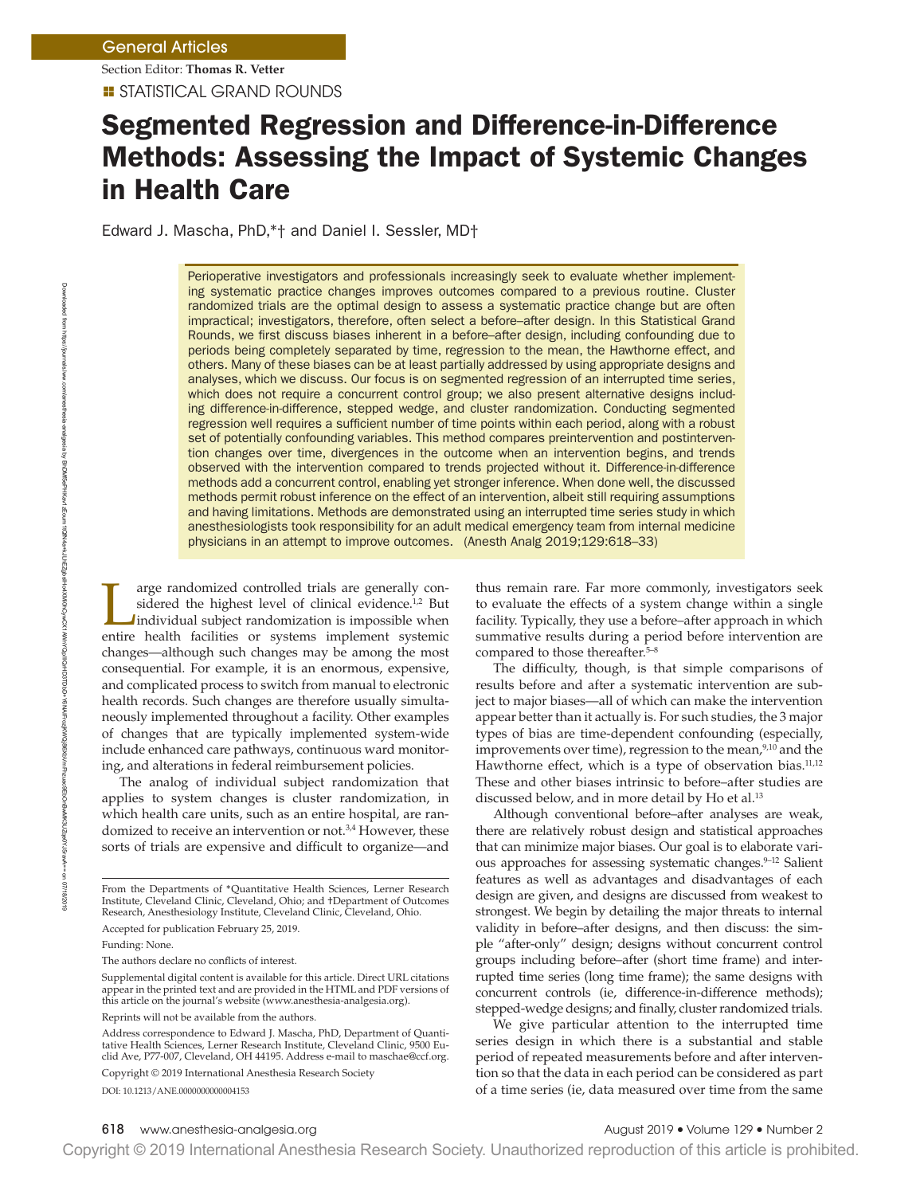**E** STATISTICAL GRAND ROUNDS Section Editor: **Thomas R. Vetter**

# Segmented Regression and Difference-in-Difference Methods: Assessing the Impact of Systemic Changes in Health Care

Edward J. Mascha, PhD,\*† and Daniel I. Sessler, MD†

Perioperative investigators and professionals increasingly seek to evaluate whether implementing systematic practice changes improves outcomes compared to a previous routine. Cluster randomized trials are the optimal design to assess a systematic practice change but are often impractical; investigators, therefore, often select a before–after design. In this Statistical Grand Rounds, we frst discuss biases inherent in a before–after design, including confounding due to periods being completely separated by time, regression to the mean, the Hawthorne effect, and others. Many of these biases can be at least partially addressed by using appropriate designs and analyses, which we discuss. Our focus is on segmented regression of an interrupted time series, which does not require a concurrent control group; we also present alternative designs including difference-in-difference, stepped wedge, and cluster randomization. Conducting segmented regression well requires a sufficient number of time points within each period, along with a robust set of potentially confounding variables. This method compares preintervention and postintervention changes over time, divergences in the outcome when an intervention begins, and trends observed with the intervention compared to trends projected without it. Difference-in-difference methods add a concurrent control, enabling yet stronger inference. When done well, the discussed methods permit robust inference on the effect of an intervention, albeit still requiring assumptions and having limitations. Methods are demonstrated using an interrupted time series study in which anesthesiologists took responsibility for an adult medical emergency team from internal medicine physicians in an attempt to improve outcomes. (Anesth Analg 2019;129:618–33)

arge randomized controlled trials are generally considered the highest level of clinical evidence.<sup>1,2</sup> But individual subject randomization is impossible when entire health facilities or systems implement systemic changes—although such changes may be among the most consequential. For example, it is an enormous, expensive, and complicated process to switch from manual to electronic health records. Such changes are therefore usually simultaneously implemented throughout a facility. Other examples of changes that are typically implemented system-wide include enhanced care pathways, continuous ward monitoring, and alterations in federal reimbursement policies.

The analog of individual subject randomization that applies to system changes is cluster randomization, in which health care units, such as an entire hospital, are randomized to receive an intervention or not.<sup>3,4</sup> However, these sorts of trials are expensive and difficult to organize—and

DOI: 10.1213/ANE.0000000000004153

thus remain rare. Far more commonly, investigators seek to evaluate the effects of a system change within a single facility. Typically, they use a before–after approach in which summative results during a period before intervention are compared to those thereafter.5–8

The difficulty, though, is that simple comparisons of results before and after a systematic intervention are subject to major biases—all of which can make the intervention appear better than it actually is. For such studies, the 3 major types of bias are time-dependent confounding (especially, improvements over time), regression to the mean, $9,10$  and the Hawthorne effect, which is a type of observation bias.<sup>11,12</sup> These and other biases intrinsic to before–after studies are discussed below, and in more detail by Ho et al.<sup>13</sup>

Although conventional before–after analyses are weak, there are relatively robust design and statistical approaches that can minimize major biases. Our goal is to elaborate various approaches for assessing systematic changes.<sup>9-12</sup> Salient features as well as advantages and disadvantages of each design are given, and designs are discussed from weakest to strongest. We begin by detailing the major threats to internal validity in before–after designs, and then discuss: the simple "after-only" design; designs without concurrent control groups including before–after (short time frame) and interrupted time series (long time frame); the same designs with concurrent controls (ie, difference-in-difference methods); stepped-wedge designs; and fnally, cluster randomized trials.

We give particular attention to the interrupted time series design in which there is a substantial and stable period of repeated measurements before and after intervention so that the data in each period can be considered as part of a time series (ie, data measured over time from the same

From the Departments of \*Quantitative Health Sciences, Lerner Research Institute, Cleveland Clinic, Cleveland, Ohio; and †Department of Outcomes Research, Anesthesiology Institute, Cleveland Clinic, Cleveland, Ohio.

Accepted for publication February 25, 2019.

Funding: None.

The authors declare no conficts of interest.

Supplemental digital content is available for this article. Direct URL citations appear in the printed text and are provided in the HTML and PDF versions of this article on the journal's website (www.anesthesia-analgesia.org).

Reprints will not be available from the authors.

Address correspondence to Edward J. Mascha, PhD, Department of Quantitative Health Sciences, Lerner Research Institute, Cleveland Clinic, 9500 Euclid Ave, P77-007, Cleveland, OH 44195. Address e-mail to maschae@ccf.org. Copyright © 2019 International Anesthesia Research Society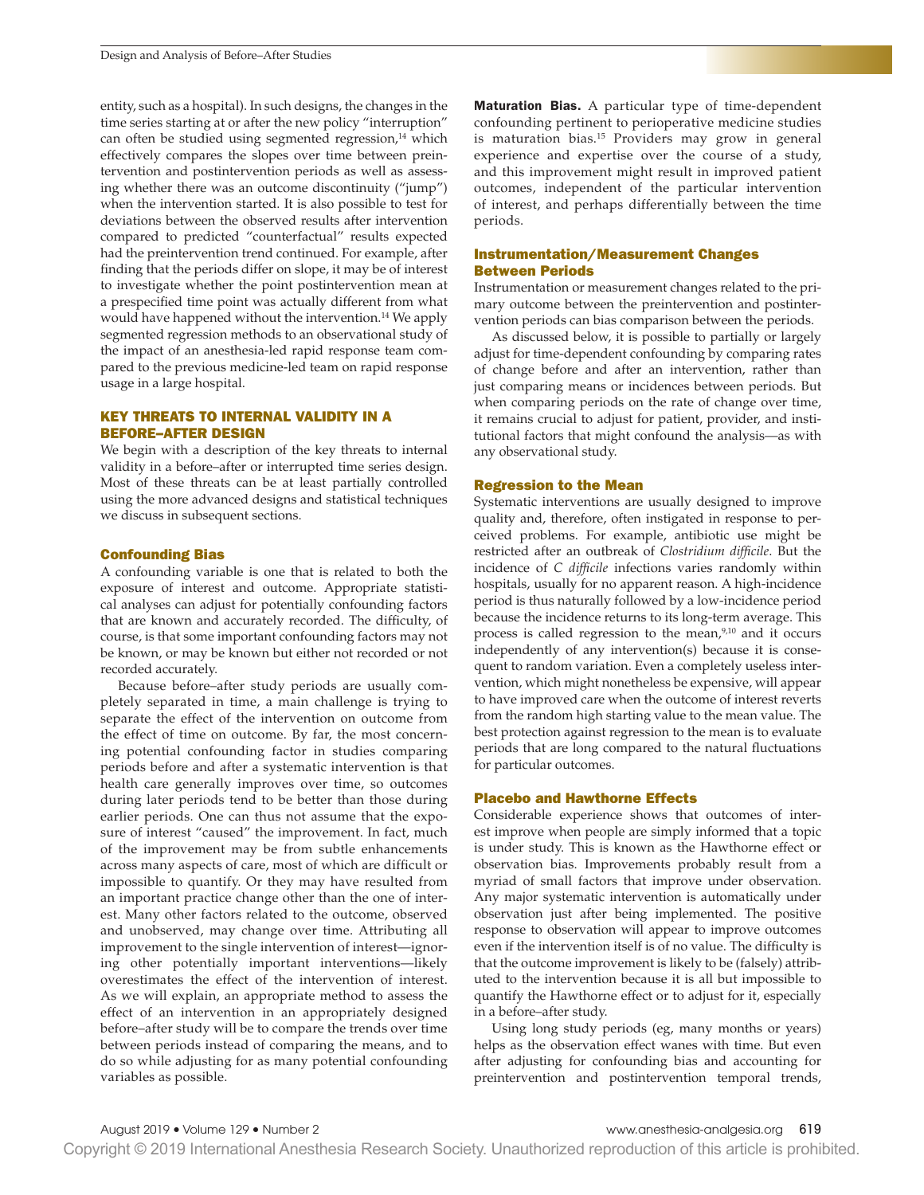entity, such as a hospital). In such designs, the changes in the time series starting at or after the new policy "interruption" can often be studied using segmented regression,<sup>14</sup> which effectively compares the slopes over time between preintervention and postintervention periods as well as assessing whether there was an outcome discontinuity ("jump") when the intervention started. It is also possible to test for deviations between the observed results after intervention compared to predicted "counterfactual" results expected had the preintervention trend continued. For example, after fnding that the periods differ on slope, it may be of interest to investigate whether the point postintervention mean at a prespecifed time point was actually different from what would have happened without the intervention.14 We apply segmented regression methods to an observational study of the impact of an anesthesia-led rapid response team compared to the previous medicine-led team on rapid response usage in a large hospital.

# KEY THREATS TO INTERNAL VALIDITY IN A BEFORE–AFTER DESIGN

We begin with a description of the key threats to internal validity in a before–after or interrupted time series design. Most of these threats can be at least partially controlled using the more advanced designs and statistical techniques we discuss in subsequent sections.

### Confounding Bias

A confounding variable is one that is related to both the exposure of interest and outcome. Appropriate statistical analyses can adjust for potentially confounding factors that are known and accurately recorded. The difficulty, of course, is that some important confounding factors may not be known, or may be known but either not recorded or not recorded accurately.

Because before–after study periods are usually completely separated in time, a main challenge is trying to separate the effect of the intervention on outcome from the effect of time on outcome. By far, the most concerning potential confounding factor in studies comparing periods before and after a systematic intervention is that health care generally improves over time, so outcomes during later periods tend to be better than those during earlier periods. One can thus not assume that the exposure of interest "caused" the improvement. In fact, much of the improvement may be from subtle enhancements across many aspects of care, most of which are difficult or impossible to quantify. Or they may have resulted from an important practice change other than the one of interest. Many other factors related to the outcome, observed and unobserved, may change over time. Attributing all improvement to the single intervention of interest—ignoring other potentially important interventions—likely overestimates the effect of the intervention of interest. As we will explain, an appropriate method to assess the effect of an intervention in an appropriately designed before–after study will be to compare the trends over time between periods instead of comparing the means, and to do so while adjusting for as many potential confounding variables as possible.

Maturation Bias. A particular type of time-dependent confounding pertinent to perioperative medicine studies is maturation bias.<sup>15</sup> Providers may grow in general experience and expertise over the course of a study, and this improvement might result in improved patient outcomes, independent of the particular intervention of interest, and perhaps differentially between the time periods.

### Instrumentation/Measurement Changes Between Periods

Instrumentation or measurement changes related to the primary outcome between the preintervention and postintervention periods can bias comparison between the periods.

As discussed below, it is possible to partially or largely adjust for time-dependent confounding by comparing rates of change before and after an intervention, rather than just comparing means or incidences between periods. But when comparing periods on the rate of change over time, it remains crucial to adjust for patient, provider, and institutional factors that might confound the analysis—as with any observational study.

#### Regression to the Mean

Systematic interventions are usually designed to improve quality and, therefore, often instigated in response to perceived problems. For example, antibiotic use might be restricted after an outbreak of *Clostridium diffcile*. But the incidence of *C diffcile* infections varies randomly within hospitals, usually for no apparent reason. A high-incidence period is thus naturally followed by a low-incidence period because the incidence returns to its long-term average. This process is called regression to the mean,<sup>9,10</sup> and it occurs independently of any intervention(s) because it is consequent to random variation. Even a completely useless intervention, which might nonetheless be expensive, will appear to have improved care when the outcome of interest reverts from the random high starting value to the mean value. The best protection against regression to the mean is to evaluate periods that are long compared to the natural fuctuations for particular outcomes.

### Placebo and Hawthorne Effects

Considerable experience shows that outcomes of interest improve when people are simply informed that a topic is under study. This is known as the Hawthorne effect or observation bias. Improvements probably result from a myriad of small factors that improve under observation. Any major systematic intervention is automatically under observation just after being implemented. The positive response to observation will appear to improve outcomes even if the intervention itself is of no value. The difficulty is that the outcome improvement is likely to be (falsely) attributed to the intervention because it is all but impossible to quantify the Hawthorne effect or to adjust for it, especially in a before–after study.

Using long study periods (eg, many months or years) helps as the observation effect wanes with time. But even after adjusting for confounding bias and accounting for preintervention and postintervention temporal trends,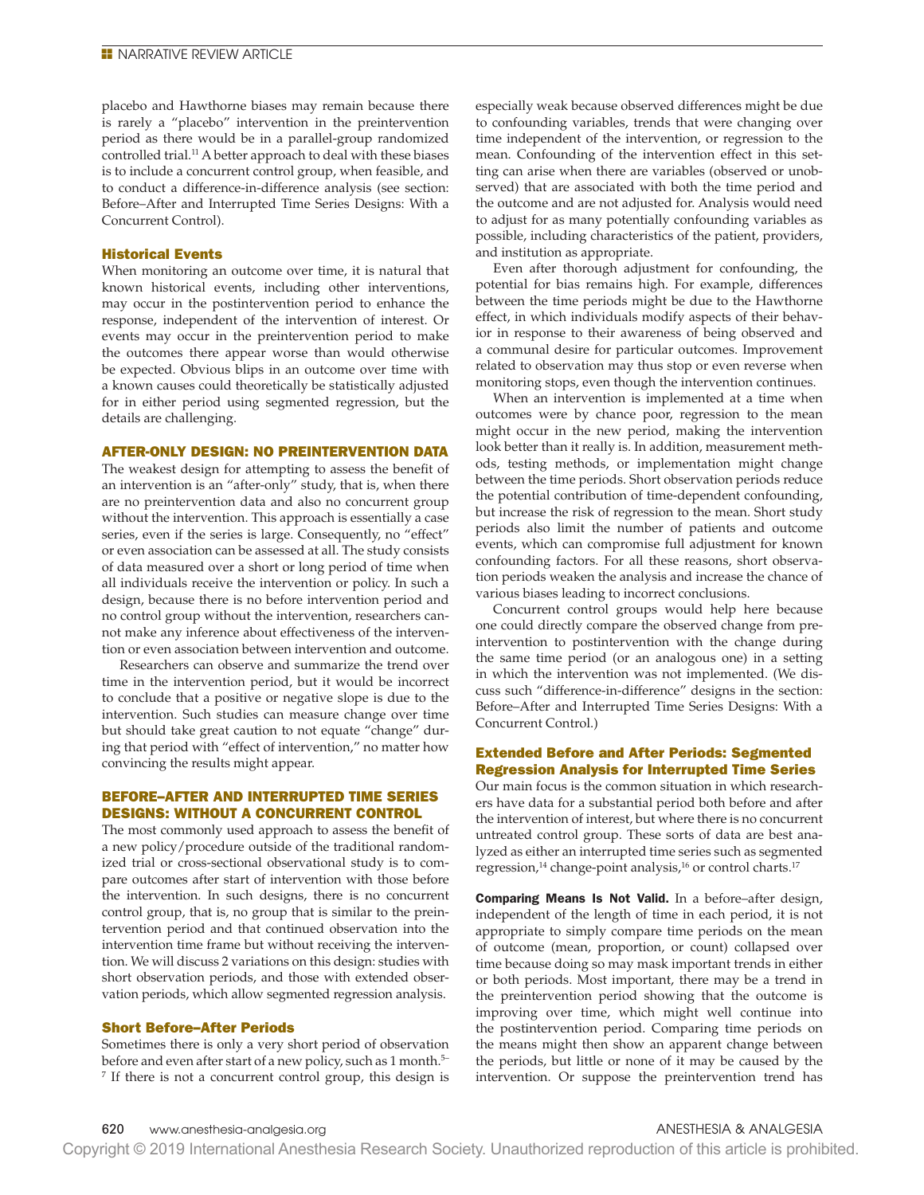placebo and Hawthorne biases may remain because there is rarely a "placebo" intervention in the preintervention period as there would be in a parallel-group randomized controlled trial.<sup>11</sup> A better approach to deal with these biases is to include a concurrent control group, when feasible, and to conduct a difference-in-difference analysis (see section: Before–After and Interrupted Time Series Designs: With a Concurrent Control).

#### Historical Events

When monitoring an outcome over time, it is natural that known historical events, including other interventions, may occur in the postintervention period to enhance the response, independent of the intervention of interest. Or events may occur in the preintervention period to make the outcomes there appear worse than would otherwise be expected. Obvious blips in an outcome over time with a known causes could theoretically be statistically adjusted for in either period using segmented regression, but the details are challenging.

# AFTER-ONLY DESIGN: NO PREINTERVENTION DATA

The weakest design for attempting to assess the benefit of an intervention is an "after-only" study, that is, when there are no preintervention data and also no concurrent group without the intervention. This approach is essentially a case series, even if the series is large. Consequently, no "effect" or even association can be assessed at all. The study consists of data measured over a short or long period of time when all individuals receive the intervention or policy. In such a design, because there is no before intervention period and no control group without the intervention, researchers cannot make any inference about effectiveness of the intervention or even association between intervention and outcome.

Researchers can observe and summarize the trend over time in the intervention period, but it would be incorrect to conclude that a positive or negative slope is due to the intervention. Such studies can measure change over time but should take great caution to not equate "change" during that period with "effect of intervention," no matter how convincing the results might appear.

# BEFORE–AFTER AND INTERRUPTED TIME SERIES DESIGNS: WITHOUT A CONCURRENT CONTROL

The most commonly used approach to assess the benefit of a new policy/procedure outside of the traditional randomized trial or cross-sectional observational study is to compare outcomes after start of intervention with those before the intervention. In such designs, there is no concurrent control group, that is, no group that is similar to the preintervention period and that continued observation into the intervention time frame but without receiving the intervention. We will discuss 2 variations on this design: studies with short observation periods, and those with extended observation periods, which allow segmented regression analysis.

### Short Before–After Periods

Sometimes there is only a very short period of observation before and even after start of a new policy, such as 1 month.<sup>5-</sup> <sup>7</sup> If there is not a concurrent control group, this design is especially weak because observed differences might be due to confounding variables, trends that were changing over time independent of the intervention, or regression to the mean. Confounding of the intervention effect in this setting can arise when there are variables (observed or unobserved) that are associated with both the time period and the outcome and are not adjusted for. Analysis would need to adjust for as many potentially confounding variables as possible, including characteristics of the patient, providers, and institution as appropriate.

Even after thorough adjustment for confounding, the potential for bias remains high. For example, differences between the time periods might be due to the Hawthorne effect, in which individuals modify aspects of their behavior in response to their awareness of being observed and a communal desire for particular outcomes. Improvement related to observation may thus stop or even reverse when monitoring stops, even though the intervention continues.

When an intervention is implemented at a time when outcomes were by chance poor, regression to the mean might occur in the new period, making the intervention look better than it really is. In addition, measurement methods, testing methods, or implementation might change between the time periods. Short observation periods reduce the potential contribution of time-dependent confounding, but increase the risk of regression to the mean. Short study periods also limit the number of patients and outcome events, which can compromise full adjustment for known confounding factors. For all these reasons, short observation periods weaken the analysis and increase the chance of various biases leading to incorrect conclusions.

Concurrent control groups would help here because one could directly compare the observed change from preintervention to postintervention with the change during the same time period (or an analogous one) in a setting in which the intervention was not implemented. (We discuss such "difference-in-difference" designs in the section: Before–After and Interrupted Time Series Designs: With a Concurrent Control.)

# Extended Before and After Periods: Segmented Regression Analysis for Interrupted Time Series

Our main focus is the common situation in which researchers have data for a substantial period both before and after the intervention of interest, but where there is no concurrent untreated control group. These sorts of data are best analyzed as either an interrupted time series such as segmented regression,<sup>14</sup> change-point analysis,<sup>16</sup> or control charts.<sup>17</sup>

Comparing Means Is Not Valid. In a before–after design, independent of the length of time in each period, it is not appropriate to simply compare time periods on the mean of outcome (mean, proportion, or count) collapsed over time because doing so may mask important trends in either or both periods. Most important, there may be a trend in the preintervention period showing that the outcome is improving over time, which might well continue into the postintervention period. Comparing time periods on the means might then show an apparent change between the periods, but little or none of it may be caused by the intervention. Or suppose the preintervention trend has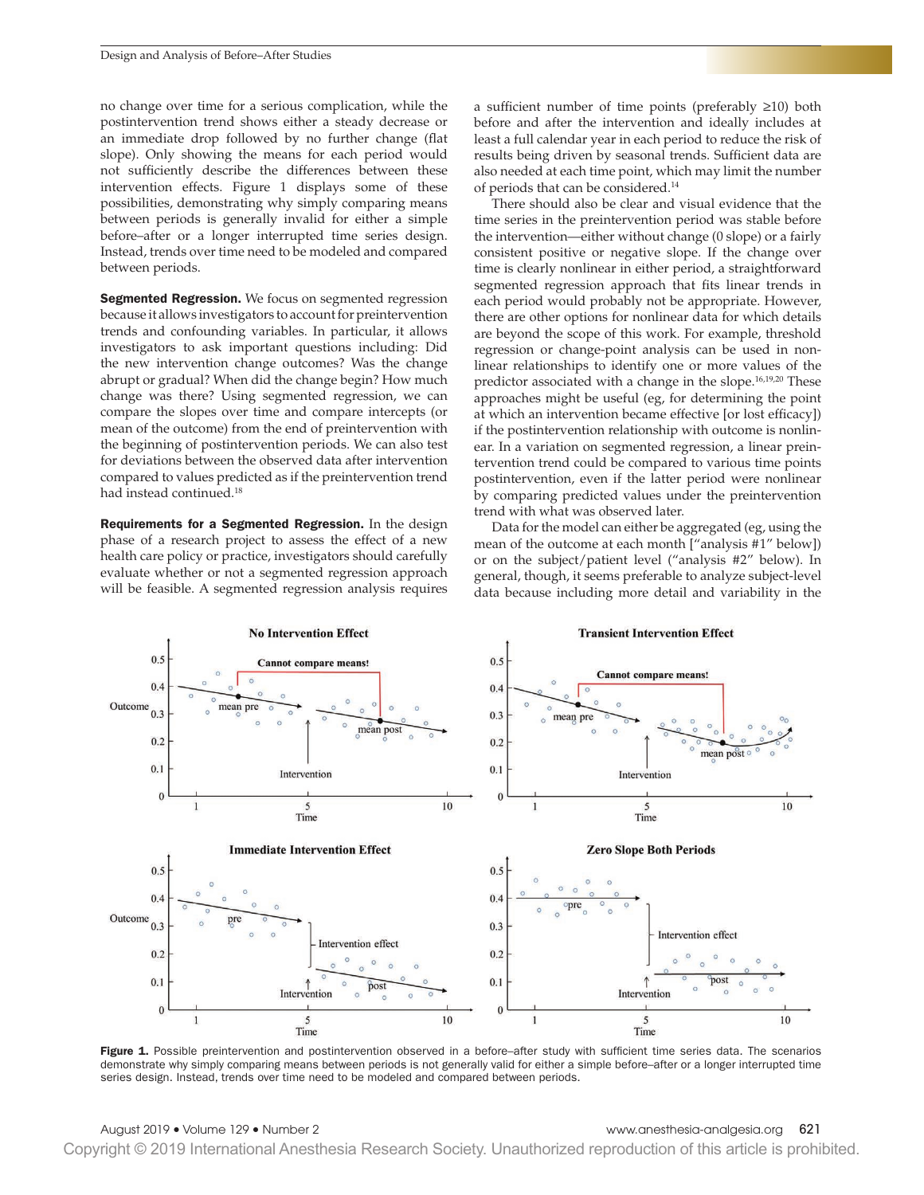no change over time for a serious complication, while the postintervention trend shows either a steady decrease or an immediate drop followed by no further change (fat slope). Only showing the means for each period would not sufficiently describe the differences between these intervention effects. Figure 1 displays some of these possibilities, demonstrating why simply comparing means between periods is generally invalid for either a simple before–after or a longer interrupted time series design. Instead, trends over time need to be modeled and compared between periods.

Segmented Regression. We focus on segmented regression because it allows investigators to account for preintervention trends and confounding variables. In particular, it allows investigators to ask important questions including: Did the new intervention change outcomes? Was the change abrupt or gradual? When did the change begin? How much change was there? Using segmented regression, we can compare the slopes over time and compare intercepts (or mean of the outcome) from the end of preintervention with the beginning of postintervention periods. We can also test for deviations between the observed data after intervention compared to values predicted as if the preintervention trend had instead continued.<sup>18</sup>

Requirements for a Segmented Regression. In the design phase of a research project to assess the effect of a new health care policy or practice, investigators should carefully evaluate whether or not a segmented regression approach will be feasible. A segmented regression analysis requires a sufficient number of time points (preferably  $\geq 10$ ) both before and after the intervention and ideally includes at least a full calendar year in each period to reduce the risk of results being driven by seasonal trends. Sufficient data are also needed at each time point, which may limit the number of periods that can be considered.14

There should also be clear and visual evidence that the time series in the preintervention period was stable before the intervention—either without change (0 slope) or a fairly consistent positive or negative slope. If the change over time is clearly nonlinear in either period, a straightforward segmented regression approach that fits linear trends in each period would probably not be appropriate. However, there are other options for nonlinear data for which details are beyond the scope of this work. For example, threshold regression or change-point analysis can be used in nonlinear relationships to identify one or more values of the predictor associated with a change in the slope.<sup>16,19,20</sup> These approaches might be useful (eg, for determining the point at which an intervention became effective [or lost efficacy]) if the postintervention relationship with outcome is nonlinear. In a variation on segmented regression, a linear preintervention trend could be compared to various time points postintervention, even if the latter period were nonlinear by comparing predicted values under the preintervention trend with what was observed later.

Data for the model can either be aggregated (eg, using the mean of the outcome at each month ["analysis #1" below]) or on the subject/patient level ("analysis #2" below). In general, though, it seems preferable to analyze subject-level data because including more detail and variability in the



Figure 1. Possible preintervention and postintervention observed in a before–after study with sufficient time series data. The scenarios demonstrate why simply comparing means between periods is not generally valid for either a simple before–after or a longer interrupted time series design. Instead, trends over time need to be modeled and compared between periods.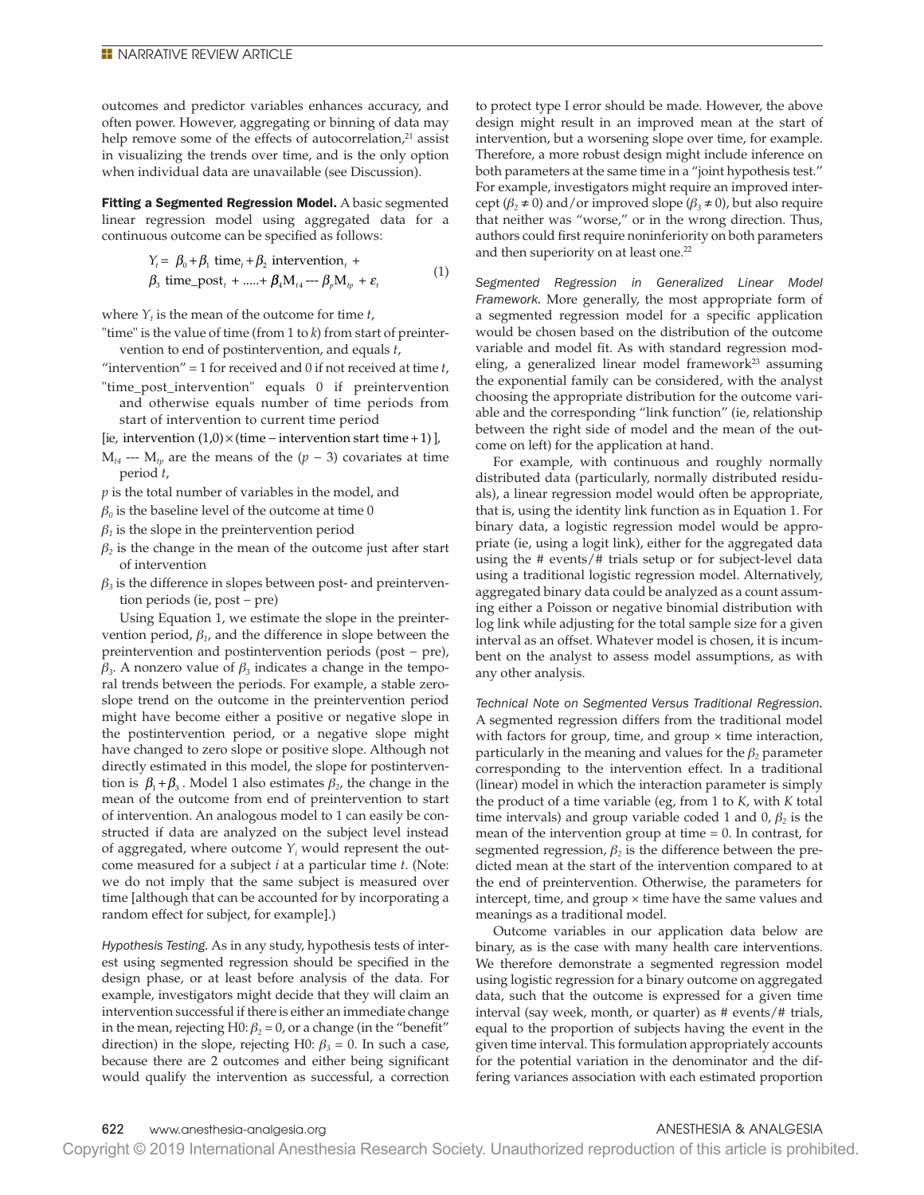outcomes and predictor variables enhances accuracy, and often power. However, aggregating or binning of data may help remove some of the effects of autocorrelation,<sup>21</sup> assist in visualizing the trends over time, and is the only option when individual data are unavailable (see Discussion).

Fitting a Segmented Regression Model. A basic segmented linear regression model using aggregated data for a continuous outcome can be specifed as follows:

$$
\begin{aligned} Y_t &= \beta_0 + \beta_1 \text{ time}_t + \beta_2 \text{ intervention}_t + \\ \beta_3 \text{ time\_post}_t + \dots + \beta_4 M_{t_4} - \beta_p M_{tp} + \varepsilon_t \end{aligned} \tag{1}
$$

where  $Y_t$  is the mean of the outcome for time  $t$ ,

- "time" is the value of time (from 1 to *k*) from start of preintervention to end of postintervention, and equals *t*,
- "intervention" = 1 for received and 0 if not received at time *t*,
- "time\_post\_intervention" equals 0 if preintervention and otherwise equals number of time periods from start of intervention to current time period
- [ie, intervention (1,0) × (time − intervention start time +1)],
- $M_{t4}$  ---  $M_{tp}$  are the means of the  $(p 3)$  covariates at time period *t*,
- *p* is the total number of variables in the model, and
- $\beta_0$  is the baseline level of the outcome at time 0
- $\beta$ <sup>1</sup> is the slope in the preintervention period
- $\beta_2$  is the change in the mean of the outcome just after start of intervention
- $\beta_3$  is the difference in slopes between post- and preintervention periods (ie, post − pre)

Using Equation 1, we estimate the slope in the preintervention period,  $\beta_1$ , and the difference in slope between the preintervention and postintervention periods (post − pre), *β3*. A nonzero value of *β3* indicates a change in the temporal trends between the periods. For example, a stable zeroslope trend on the outcome in the preintervention period might have become either a positive or negative slope in the postintervention period, or a negative slope might have changed to zero slope or positive slope. Although not directly estimated in this model, the slope for postintervention is  $β_1 + β_3$ . Model 1 also estimates  $β_2$ , the change in the mean of the outcome from end of preintervention to start of intervention. An analogous model to 1 can easily be constructed if data are analyzed on the subject level instead of aggregated, where outcome  $Y_i$  would represent the outcome measured for a subject *i* at a particular time *t*. (Note: we do not imply that the same subject is measured over time [although that can be accounted for by incorporating a random effect for subject, for example].)

*Hypothesis Testing.* As in any study, hypothesis tests of interest using segmented regression should be specifed in the design phase, or at least before analysis of the data. For example, investigators might decide that they will claim an intervention successful if there is either an immediate change in the mean, rejecting H0:  $\beta_2 = 0$ , or a change (in the "benefit" direction) in the slope, rejecting H0:  $\beta_3 = 0$ . In such a case, because there are 2 outcomes and either being significant would qualify the intervention as successful, a correction

to protect type I error should be made. However, the above design might result in an improved mean at the start of intervention, but a worsening slope over time, for example. Therefore, a more robust design might include inference on both parameters at the same time in a "joint hypothesis test." For example, investigators might require an improved intercept ( $\beta_2 \neq 0$ ) and/or improved slope ( $\beta_3 \neq 0$ ), but also require that neither was "worse," or in the wrong direction. Thus, authors could first require noninferiority on both parameters and then superiority on at least one.<sup>22</sup>

*Segmented Regression in Generalized Linear Model Framework.* More generally, the most appropriate form of a segmented regression model for a specific application would be chosen based on the distribution of the outcome variable and model fit. As with standard regression modeling, a generalized linear model framework $23$  assuming the exponential family can be considered, with the analyst choosing the appropriate distribution for the outcome variable and the corresponding "link function" (ie, relationship between the right side of model and the mean of the outcome on left) for the application at hand.

For example, with continuous and roughly normally distributed data (particularly, normally distributed residuals), a linear regression model would often be appropriate, that is, using the identity link function as in Equation 1. For binary data, a logistic regression model would be appropriate (ie, using a logit link), either for the aggregated data using the # events/# trials setup or for subject-level data using a traditional logistic regression model. Alternatively, aggregated binary data could be analyzed as a count assuming either a Poisson or negative binomial distribution with log link while adjusting for the total sample size for a given interval as an offset. Whatever model is chosen, it is incumbent on the analyst to assess model assumptions, as with any other analysis.

*Technical Note on Segmented Versus Traditional Regression.* A segmented regression differs from the traditional model with factors for group, time, and group  $\times$  time interaction, particularly in the meaning and values for the  $\beta_2$  parameter corresponding to the intervention effect. In a traditional (linear) model in which the interaction parameter is simply the product of a time variable (eg, from 1 to *K*, with *K* total time intervals) and group variable coded 1 and  $0, \beta_2$  is the mean of the intervention group at time  $= 0$ . In contrast, for segmented regression,  $\beta_2$  is the difference between the predicted mean at the start of the intervention compared to at the end of preintervention. Otherwise, the parameters for intercept, time, and group  $\times$  time have the same values and meanings as a traditional model.

Outcome variables in our application data below are binary, as is the case with many health care interventions. We therefore demonstrate a segmented regression model using logistic regression for a binary outcome on aggregated data, such that the outcome is expressed for a given time interval (say week, month, or quarter) as # events/# trials, equal to the proportion of subjects having the event in the given time interval. This formulation appropriately accounts for the potential variation in the denominator and the differing variances association with each estimated proportion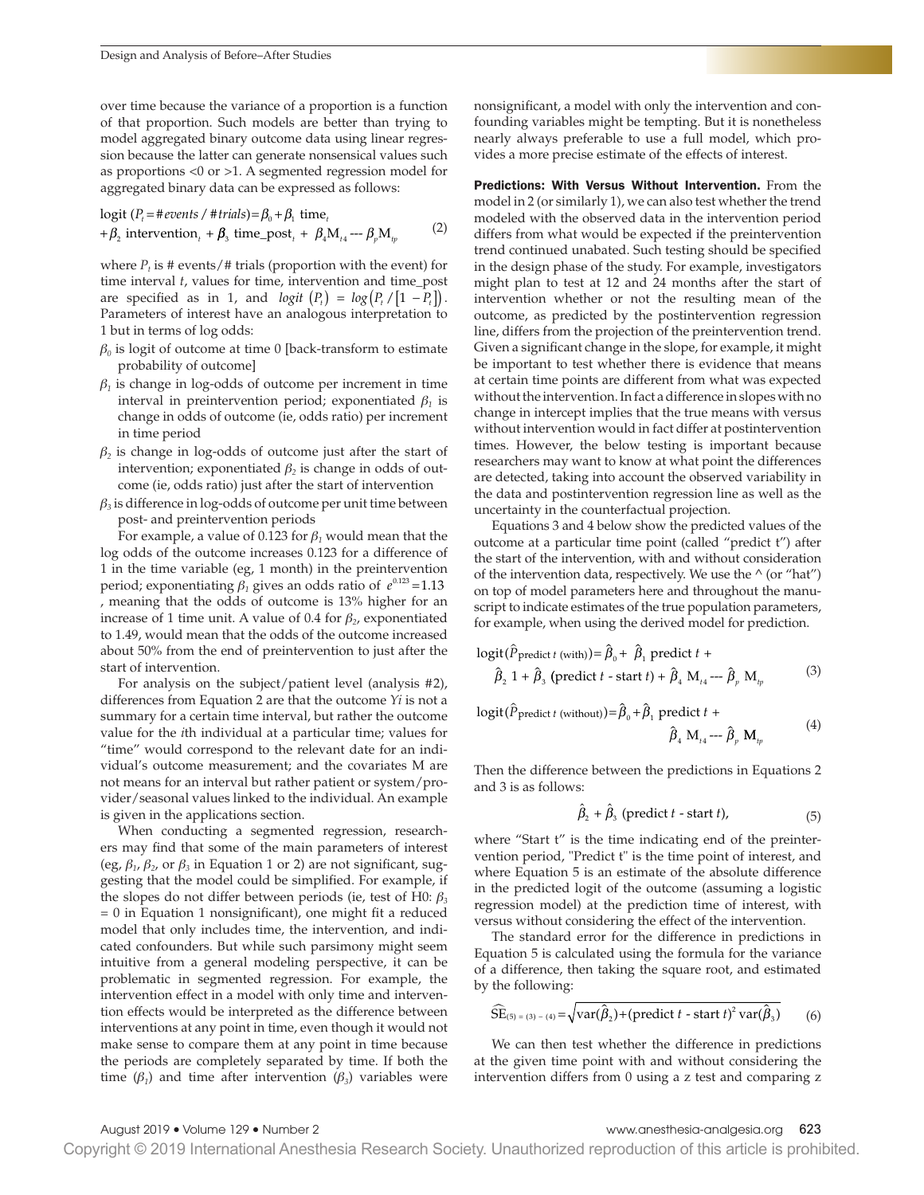over time because the variance of a proportion is a function of that proportion. Such models are better than trying to model aggregated binary outcome data using linear regression because the latter can generate nonsensical values such as proportions <0 or >1. A segmented regression model for aggregated binary data can be expressed as follows:

$$
logit (Pt = \# events / \# trials) = \beta_0 + \beta_1 time_t + \beta_2 intervention_t + \beta_3 time\_post_t + \beta_4 M_{t_4} -- \beta_p M_{t_p}
$$
 (2)

where  $P_t$  is # events/# trials (proportion with the event) for time interval *t*, values for time, intervention and time\_post are specified as in 1, and *logit*  $(P_t) = log(P_t / [1 - P_t])$ . Parameters of interest have an analogous interpretation to 1 but in terms of log odds:

- $\beta$ <sup>0</sup> is logit of outcome at time 0 [back-transform to estimate probability of outcome]
- $\beta_1$  is change in log-odds of outcome per increment in time interval in preintervention period; exponentiated *β1* is change in odds of outcome (ie, odds ratio) per increment in time period
- $\beta_2$  is change in log-odds of outcome just after the start of intervention; exponentiated  $\beta_2$  is change in odds of outcome (ie, odds ratio) just after the start of intervention
- *β3* is difference in log-odds of outcome per unit time between post- and preintervention periods

For example, a value of 0.123 for  $\beta_1$  would mean that the log odds of the outcome increases 0.123 for a difference of 1 in the time variable (eg, 1 month) in the preintervention period; exponentiating  $\beta_1$  gives an odds ratio of  $e^{0.123}$  = 1.13 , meaning that the odds of outcome is 13% higher for an increase of 1 time unit. A value of 0.4 for *β2*, exponentiated to 1.49, would mean that the odds of the outcome increased about 50% from the end of preintervention to just after the start of intervention.

For analysis on the subject/patient level (analysis #2), differences from Equation 2 are that the outcome *Yi* is not a summary for a certain time interval, but rather the outcome value for the *i*th individual at a particular time; values for "time" would correspond to the relevant date for an individual's outcome measurement; and the covariates M are not means for an interval but rather patient or system/provider/seasonal values linked to the individual. An example is given in the applications section.

When conducting a segmented regression, researchers may fnd that some of the main parameters of interest (eg,  $\beta_1$ ,  $\beta_2$ , or  $\beta_3$  in Equation 1 or 2) are not significant, suggesting that the model could be simplifed. For example, if the slopes do not differ between periods (ie, test of H0: *β<sup>3</sup>*  $= 0$  in Equation 1 nonsignificant), one might fit a reduced model that only includes time, the intervention, and indicated confounders. But while such parsimony might seem intuitive from a general modeling perspective, it can be problematic in segmented regression. For example, the intervention effect in a model with only time and intervention effects would be interpreted as the difference between interventions at any point in time, even though it would not make sense to compare them at any point in time because the periods are completely separated by time. If both the time ( $\beta_1$ ) and time after intervention ( $\beta_3$ ) variables were nonsignifcant, a model with only the intervention and confounding variables might be tempting. But it is nonetheless nearly always preferable to use a full model, which provides a more precise estimate of the effects of interest.

Predictions: With Versus Without Intervention. From the model in 2 (or similarly 1), we can also test whether the trend modeled with the observed data in the intervention period differs from what would be expected if the preintervention trend continued unabated. Such testing should be specifed in the design phase of the study. For example, investigators might plan to test at 12 and 24 months after the start of intervention whether or not the resulting mean of the outcome, as predicted by the postintervention regression line, differs from the projection of the preintervention trend. Given a signifcant change in the slope, for example, it might be important to test whether there is evidence that means at certain time points are different from what was expected without the intervention. In fact a difference in slopes with no change in intercept implies that the true means with versus without intervention would in fact differ at postintervention times. However, the below testing is important because researchers may want to know at what point the differences are detected, taking into account the observed variability in the data and postintervention regression line as well as the uncertainty in the counterfactual projection.

Equations 3 and 4 below show the predicted values of the outcome at a particular time point (called "predict t") after the start of the intervention, with and without consideration of the intervention data, respectively. We use the  $\wedge$  (or "hat") on top of model parameters here and throughout the manuscript to indicate estimates of the true population parameters, for example, when using the derived model for prediction.

$$
logit(\hat{P}_{predict~t (with)}) = \hat{\beta}_0 + \hat{\beta}_1 \text{ predict } t + \n\hat{\beta}_2 1 + \hat{\beta}_3 \text{ (predict } t - start~t) + \hat{\beta}_4 M_{t_4} - \hat{\beta}_p M_{t_p}
$$
\n(3)

 $logit(\widehat{P}_{predict~t~(without)}) = \widehat{\beta}_0 + \widehat{\beta}_1~predict~t~+$ 

$$
\hat{\beta}_4 \text{ M}_{t_4} - \hat{\beta}_p \text{ M}_{tp} \tag{4}
$$

Then the difference between the predictions in Equations 2 and 3 is as follows:

$$
\hat{\beta}_2 + \hat{\beta}_3 \text{ (predict } t \text{ - start } t), \tag{5}
$$

where "Start t" is the time indicating end of the preintervention period, "Predict t" is the time point of interest, and where Equation 5 is an estimate of the absolute difference in the predicted logit of the outcome (assuming a logistic regression model) at the prediction time of interest, with versus without considering the effect of the intervention.

The standard error for the difference in predictions in Equation 5 is calculated using the formula for the variance of a difference, then taking the square root, and estimated by the following:

$$
\widehat{\text{SE}}_{(5)=(3)-(4)} = \sqrt{\text{var}(\hat{\beta}_2) + (\text{predict } t - \text{start } t)^2 \text{var}(\hat{\beta}_3)}
$$
(6)

We can then test whether the difference in predictions at the given time point with and without considering the intervention differs from 0 using a z test and comparing z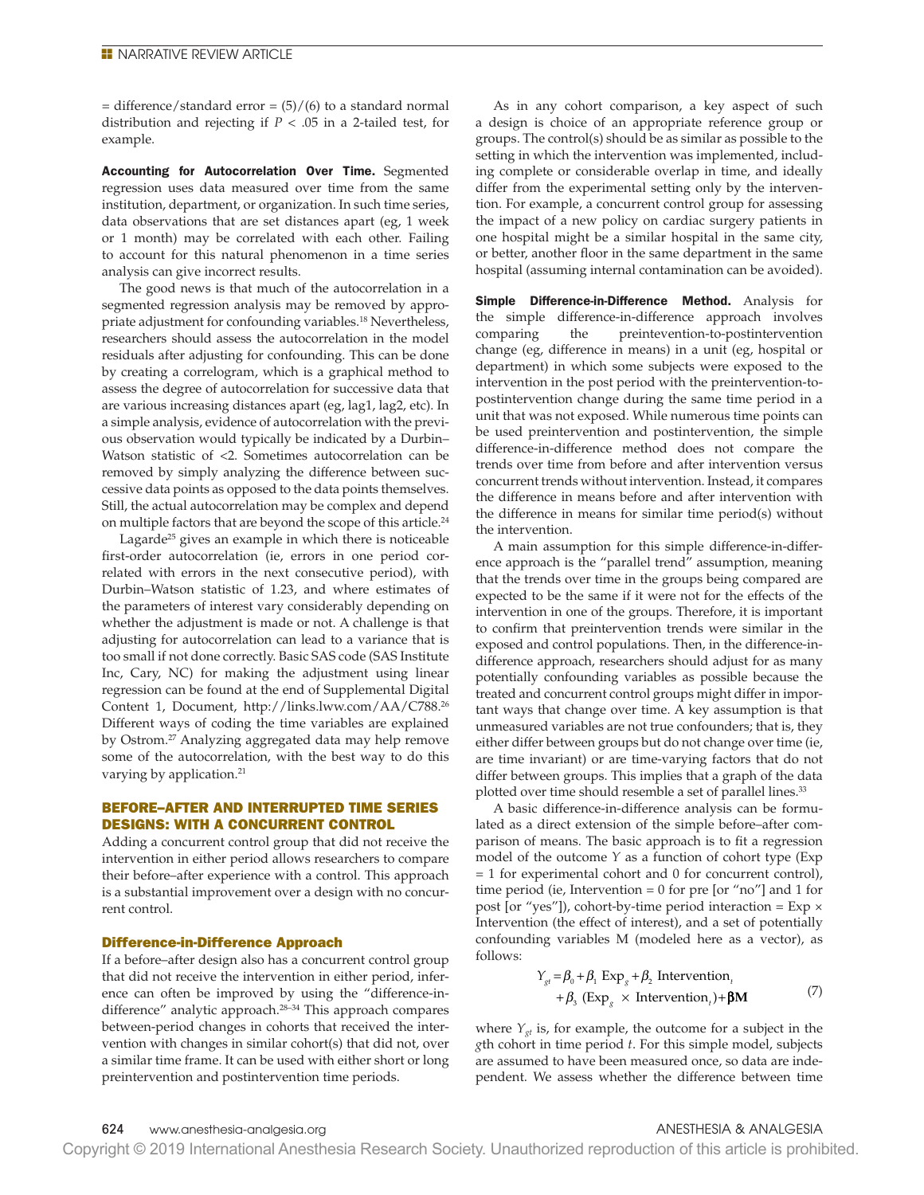$=$  difference/standard error  $=$  (5)/(6) to a standard normal distribution and rejecting if *P* < .05 in a 2-tailed test, for example.

Accounting for Autocorrelation Over Time. Segmented regression uses data measured over time from the same institution, department, or organization. In such time series, data observations that are set distances apart (eg, 1 week or 1 month) may be correlated with each other. Failing to account for this natural phenomenon in a time series analysis can give incorrect results.

The good news is that much of the autocorrelation in a segmented regression analysis may be removed by appropriate adjustment for confounding variables.18 Nevertheless, researchers should assess the autocorrelation in the model residuals after adjusting for confounding. This can be done by creating a correlogram, which is a graphical method to assess the degree of autocorrelation for successive data that are various increasing distances apart (eg, lag1, lag2, etc). In a simple analysis, evidence of autocorrelation with the previous observation would typically be indicated by a Durbin– Watson statistic of <2. Sometimes autocorrelation can be removed by simply analyzing the difference between successive data points as opposed to the data points themselves. Still, the actual autocorrelation may be complex and depend on multiple factors that are beyond the scope of this article.<sup>24</sup>

Lagarde<sup>25</sup> gives an example in which there is noticeable first-order autocorrelation (ie, errors in one period correlated with errors in the next consecutive period), with Durbin–Watson statistic of 1.23, and where estimates of the parameters of interest vary considerably depending on whether the adjustment is made or not. A challenge is that adjusting for autocorrelation can lead to a variance that is too small if not done correctly. Basic SAS code (SAS Institute Inc, Cary, NC) for making the adjustment using linear regression can be found at the end of Supplemental Digital Content 1, Document, http://links.lww.com/AA/C788.26 Different ways of coding the time variables are explained by Ostrom.27 Analyzing aggregated data may help remove some of the autocorrelation, with the best way to do this varying by application.<sup>21</sup>

# BEFORE–AFTER AND INTERRUPTED TIME SERIES DESIGNS: WITH A CONCURRENT CONTROL

Adding a concurrent control group that did not receive the intervention in either period allows researchers to compare their before–after experience with a control. This approach is a substantial improvement over a design with no concurrent control.

# Difference-in-Difference Approach

If a before–after design also has a concurrent control group that did not receive the intervention in either period, inference can often be improved by using the "difference-indifference" analytic approach.28–34 This approach compares between-period changes in cohorts that received the intervention with changes in similar cohort(s) that did not, over a similar time frame. It can be used with either short or long preintervention and postintervention time periods.

As in any cohort comparison, a key aspect of such a design is choice of an appropriate reference group or groups. The control(s) should be as similar as possible to the setting in which the intervention was implemented, including complete or considerable overlap in time, and ideally differ from the experimental setting only by the intervention. For example, a concurrent control group for assessing the impact of a new policy on cardiac surgery patients in one hospital might be a similar hospital in the same city, or better, another floor in the same department in the same hospital (assuming internal contamination can be avoided).

Simple Difference-in-Difference Method. Analysis for the simple difference-in-difference approach involves comparing the preintevention-to-postintervention change (eg, difference in means) in a unit (eg, hospital or department) in which some subjects were exposed to the intervention in the post period with the preintervention-topostintervention change during the same time period in a unit that was not exposed. While numerous time points can be used preintervention and postintervention, the simple difference-in-difference method does not compare the trends over time from before and after intervention versus concurrent trends without intervention. Instead, it compares the difference in means before and after intervention with the difference in means for similar time period(s) without the intervention.

A main assumption for this simple difference-in-difference approach is the "parallel trend" assumption, meaning that the trends over time in the groups being compared are expected to be the same if it were not for the effects of the intervention in one of the groups. Therefore, it is important to confrm that preintervention trends were similar in the exposed and control populations. Then, in the difference-indifference approach, researchers should adjust for as many potentially confounding variables as possible because the treated and concurrent control groups might differ in important ways that change over time. A key assumption is that unmeasured variables are not true confounders; that is, they either differ between groups but do not change over time (ie, are time invariant) or are time-varying factors that do not differ between groups. This implies that a graph of the data plotted over time should resemble a set of parallel lines.<sup>33</sup>

A basic difference-in-difference analysis can be formulated as a direct extension of the simple before–after comparison of means. The basic approach is to fit a regression model of the outcome *Y* as a function of cohort type (Exp = 1 for experimental cohort and 0 for concurrent control), time period (ie, Intervention = 0 for pre [or "no"] and 1 for post [or "yes"]), cohort-by-time period interaction =  $Exp \times$ Intervention (the effect of interest), and a set of potentially confounding variables M (modeled here as a vector), as follows:

$$
Y_{gt} = \beta_0 + \beta_1 \operatorname{Exp}_g + \beta_2 \operatorname{Intervention}_t + \beta_3 (\operatorname{Exp}_g \times \operatorname{Intervention}_t) + \beta M \tag{7}
$$

where  $Y_{gt}$  is, for example, the outcome for a subject in the *g*th cohort in time period *t*. For this simple model, subjects are assumed to have been measured once, so data are independent. We assess whether the difference between time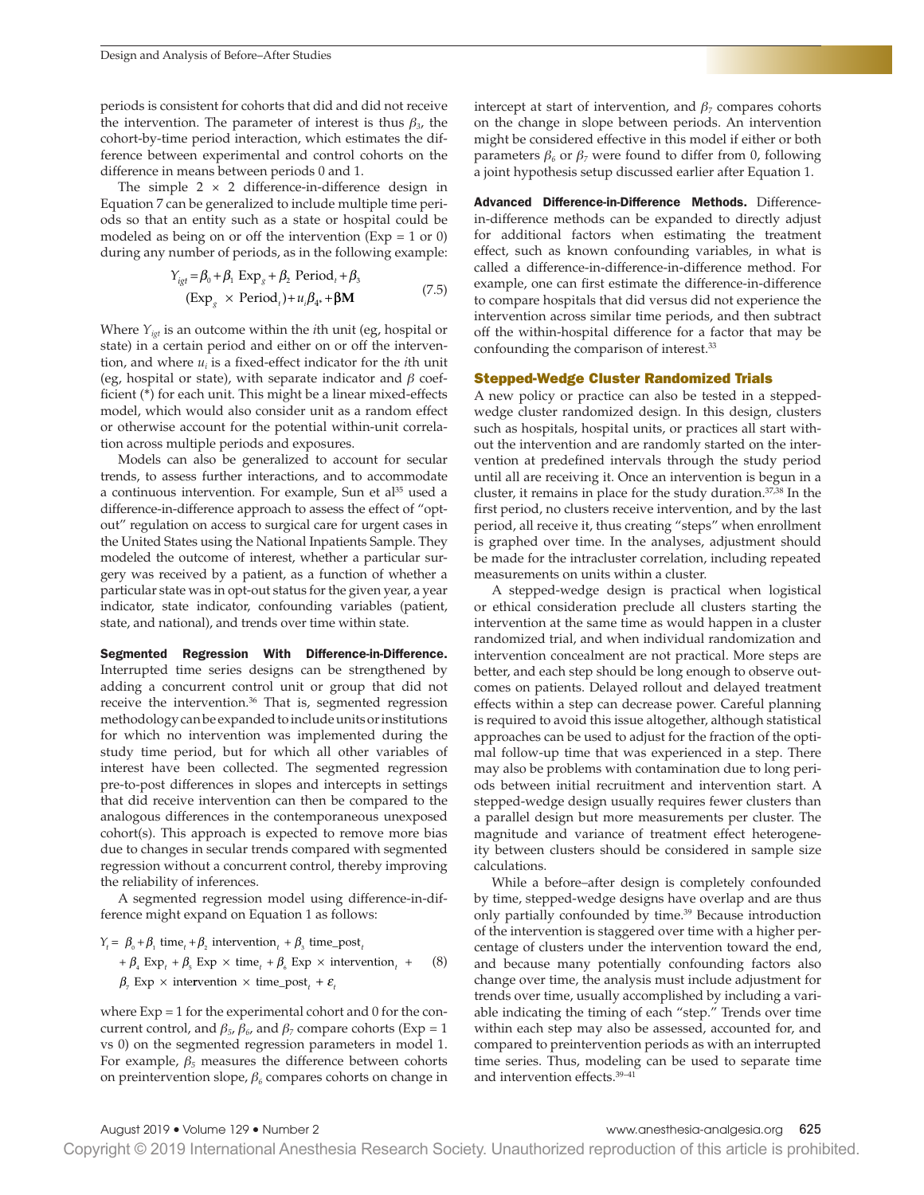periods is consistent for cohorts that did and did not receive the intervention. The parameter of interest is thus  $\beta_{3}$ , the cohort-by-time period interaction, which estimates the difference between experimental and control cohorts on the difference in means between periods 0 and 1.

The simple  $2 \times 2$  difference-in-difference design in Equation 7 can be generalized to include multiple time periods so that an entity such as a state or hospital could be modeled as being on or off the intervention ( $Exp = 1$  or 0) during any number of periods, as in the following example:

$$
Y_{igt} = \beta_0 + \beta_1 \operatorname{Exp}_g + \beta_2 \operatorname{Period}_t + \beta_3
$$
  

$$
(\operatorname{Exp}_g \times \operatorname{Period}_t) + u_i \beta_{4^*} + \beta M
$$
 (7.5)

Where *Yigt* is an outcome within the *i*th unit (eg, hospital or state) in a certain period and either on or off the intervention, and where *ui* is a fxed-effect indicator for the *i*th unit (eg, hospital or state), with separate indicator and *β* coefficient (\*) for each unit. This might be a linear mixed-effects model, which would also consider unit as a random effect or otherwise account for the potential within-unit correlation across multiple periods and exposures.

Models can also be generalized to account for secular trends, to assess further interactions, and to accommodate a continuous intervention. For example, Sun et al<sup>35</sup> used a difference-in-difference approach to assess the effect of "optout" regulation on access to surgical care for urgent cases in the United States using the National Inpatients Sample. They modeled the outcome of interest, whether a particular surgery was received by a patient, as a function of whether a particular state was in opt-out status for the given year, a year indicator, state indicator, confounding variables (patient, state, and national), and trends over time within state.

Segmented Regression With Difference-in-Difference. Interrupted time series designs can be strengthened by adding a concurrent control unit or group that did not receive the intervention.<sup>36</sup> That is, segmented regression methodology can be expanded to include units or institutions for which no intervention was implemented during the study time period, but for which all other variables of interest have been collected. The segmented regression pre-to-post differences in slopes and intercepts in settings that did receive intervention can then be compared to the analogous differences in the contemporaneous unexposed cohort(s). This approach is expected to remove more bias due to changes in secular trends compared with segmented regression without a concurrent control, thereby improving the reliability of inferences.

A segmented regression model using difference-in-difference might expand on Equation 1 as follows:

 $Y_t = \beta_0 + \beta_1$  time<sub>t</sub> +  $\beta_2$  intervention<sub>t</sub> +  $\beta_3$  time\_post<sub>t</sub> +  $\beta$ <sub>4</sub> Exp +  $\beta$ <sub>5</sub> Exp × time<sub>t</sub> +  $\beta$ <sub>6</sub> Exp × intervention<sub>t</sub> +  $\beta$ <sub>7</sub> Exp × intervention × time\_post<sub>t</sub> +  $\varepsilon$ <sub>t</sub> (8)

where Exp = 1 for the experimental cohort and 0 for the concurrent control, and  $\beta_5$ ,  $\beta_6$ , and  $\beta_7$  compare cohorts (Exp = 1 vs 0) on the segmented regression parameters in model 1. For example,  $\beta_5$  measures the difference between cohorts on preintervention slope, *β6* compares cohorts on change in intercept at start of intervention, and  $\beta$ <sup>7</sup> compares cohorts on the change in slope between periods. An intervention might be considered effective in this model if either or both parameters  $β<sub>6</sub>$  or  $β<sub>7</sub>$  were found to differ from 0, following a joint hypothesis setup discussed earlier after Equation 1.

Advanced Difference-in-Difference Methods. Differencein-difference methods can be expanded to directly adjust for additional factors when estimating the treatment effect, such as known confounding variables, in what is called a difference-in-difference-in-difference method. For example, one can frst estimate the difference-in-difference to compare hospitals that did versus did not experience the intervention across similar time periods, and then subtract off the within-hospital difference for a factor that may be confounding the comparison of interest.<sup>33</sup>

#### Stepped-Wedge Cluster Randomized Trials

A new policy or practice can also be tested in a steppedwedge cluster randomized design. In this design, clusters such as hospitals, hospital units, or practices all start without the intervention and are randomly started on the intervention at predefned intervals through the study period until all are receiving it. Once an intervention is begun in a cluster, it remains in place for the study duration.37,38 In the first period, no clusters receive intervention, and by the last period, all receive it, thus creating "steps" when enrollment is graphed over time. In the analyses, adjustment should be made for the intracluster correlation, including repeated measurements on units within a cluster.

A stepped-wedge design is practical when logistical or ethical consideration preclude all clusters starting the intervention at the same time as would happen in a cluster randomized trial, and when individual randomization and intervention concealment are not practical. More steps are better, and each step should be long enough to observe outcomes on patients. Delayed rollout and delayed treatment effects within a step can decrease power. Careful planning is required to avoid this issue altogether, although statistical approaches can be used to adjust for the fraction of the optimal follow-up time that was experienced in a step. There may also be problems with contamination due to long periods between initial recruitment and intervention start. A stepped-wedge design usually requires fewer clusters than a parallel design but more measurements per cluster. The magnitude and variance of treatment effect heterogeneity between clusters should be considered in sample size calculations.

While a before–after design is completely confounded by time, stepped-wedge designs have overlap and are thus only partially confounded by time.<sup>39</sup> Because introduction of the intervention is staggered over time with a higher percentage of clusters under the intervention toward the end, and because many potentially confounding factors also change over time, the analysis must include adjustment for trends over time, usually accomplished by including a variable indicating the timing of each "step." Trends over time within each step may also be assessed, accounted for, and compared to preintervention periods as with an interrupted time series. Thus, modeling can be used to separate time and intervention effects.39–41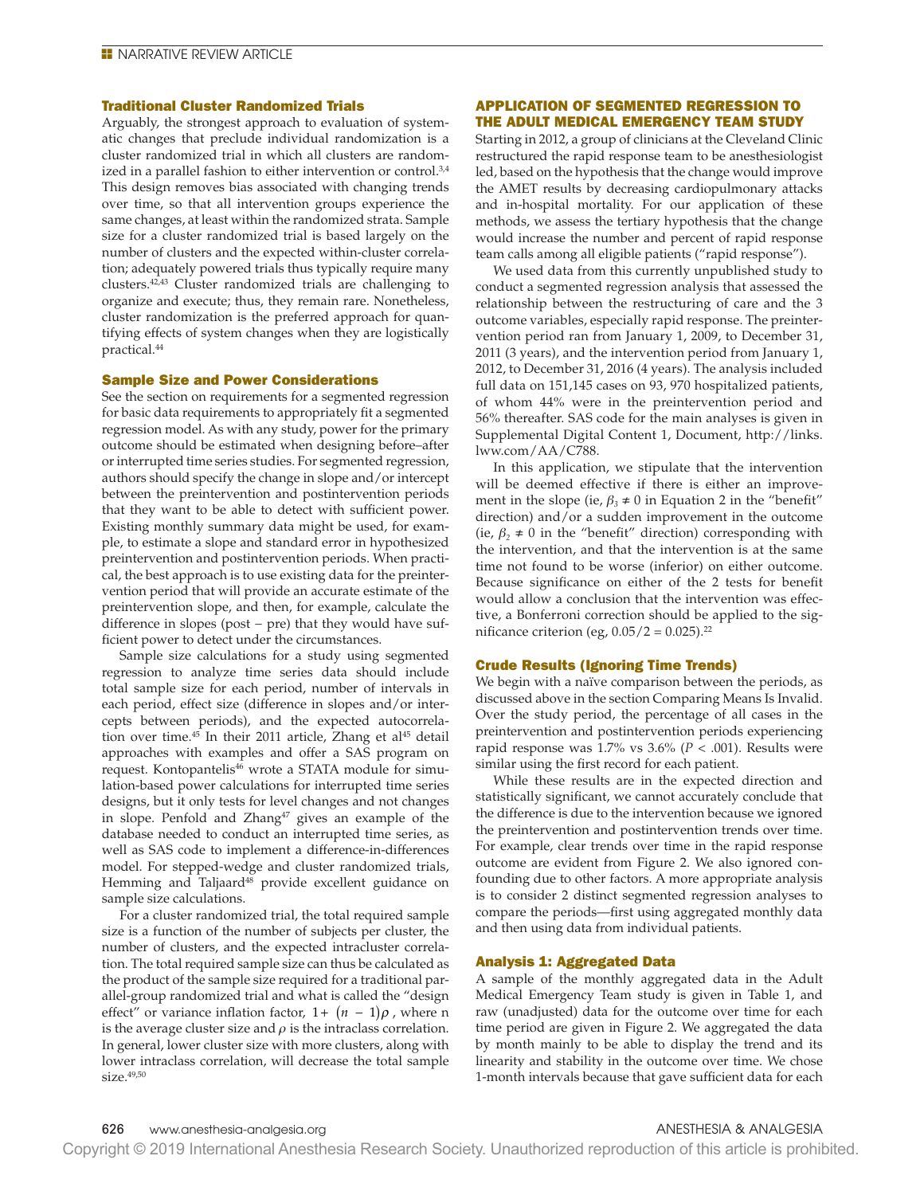### Traditional Cluster Randomized Trials

Arguably, the strongest approach to evaluation of systematic changes that preclude individual randomization is a cluster randomized trial in which all clusters are randomized in a parallel fashion to either intervention or control.<sup>3,4</sup> This design removes bias associated with changing trends over time, so that all intervention groups experience the same changes, at least within the randomized strata. Sample size for a cluster randomized trial is based largely on the number of clusters and the expected within-cluster correlation; adequately powered trials thus typically require many clusters.42,43 Cluster randomized trials are challenging to organize and execute; thus, they remain rare. Nonetheless, cluster randomization is the preferred approach for quantifying effects of system changes when they are logistically practical.44

### Sample Size and Power Considerations

See the section on requirements for a segmented regression for basic data requirements to appropriately fit a segmented regression model. As with any study, power for the primary outcome should be estimated when designing before–after or interrupted time series studies. For segmented regression, authors should specify the change in slope and/or intercept between the preintervention and postintervention periods that they want to be able to detect with sufficient power. Existing monthly summary data might be used, for example, to estimate a slope and standard error in hypothesized preintervention and postintervention periods. When practical, the best approach is to use existing data for the preintervention period that will provide an accurate estimate of the preintervention slope, and then, for example, calculate the difference in slopes (post − pre) that they would have sufficient power to detect under the circumstances.

Sample size calculations for a study using segmented regression to analyze time series data should include total sample size for each period, number of intervals in each period, effect size (difference in slopes and/or intercepts between periods), and the expected autocorrelation over time.<sup>45</sup> In their 2011 article, Zhang et al<sup>45</sup> detail approaches with examples and offer a SAS program on request. Kontopantelis<sup>46</sup> wrote a STATA module for simulation-based power calculations for interrupted time series designs, but it only tests for level changes and not changes in slope. Penfold and Zhang<sup>47</sup> gives an example of the database needed to conduct an interrupted time series, as well as SAS code to implement a difference-in-differences model. For stepped-wedge and cluster randomized trials, Hemming and Taljaard<sup>48</sup> provide excellent guidance on sample size calculations.

For a cluster randomized trial, the total required sample size is a function of the number of subjects per cluster, the number of clusters, and the expected intracluster correlation. The total required sample size can thus be calculated as the product of the sample size required for a traditional parallel-group randomized trial and what is called the "design effect" or variance inflation factor,  $1 + (n - 1)\rho$ , where n is the average cluster size and  $\rho$  is the intraclass correlation. In general, lower cluster size with more clusters, along with lower intraclass correlation, will decrease the total sample size.<sup>49,50</sup>

# APPLICATION OF SEGMENTED REGRESSION TO THE ADULT MEDICAL EMERGENCY TEAM STUDY

Starting in 2012, a group of clinicians at the Cleveland Clinic restructured the rapid response team to be anesthesiologist led, based on the hypothesis that the change would improve the AMET results by decreasing cardiopulmonary attacks and in-hospital mortality. For our application of these methods, we assess the tertiary hypothesis that the change would increase the number and percent of rapid response team calls among all eligible patients ("rapid response").

We used data from this currently unpublished study to conduct a segmented regression analysis that assessed the relationship between the restructuring of care and the 3 outcome variables, especially rapid response. The preintervention period ran from January 1, 2009, to December 31, 2011 (3 years), and the intervention period from January 1, 2012, to December 31, 2016 (4 years). The analysis included full data on 151,145 cases on 93, 970 hospitalized patients, of whom 44% were in the preintervention period and 56% thereafter. SAS code for the main analyses is given in Supplemental Digital Content 1, Document, http://links. lww.com/AA/C788.

In this application, we stipulate that the intervention will be deemed effective if there is either an improvement in the slope (ie,  $\beta_3 \neq 0$  in Equation 2 in the "benefit" direction) and/or a sudden improvement in the outcome (ie,  $\beta$ <sub>2</sub>  $\neq$  0 in the "benefit" direction) corresponding with the intervention, and that the intervention is at the same time not found to be worse (inferior) on either outcome. Because significance on either of the 2 tests for benefit would allow a conclusion that the intervention was effective, a Bonferroni correction should be applied to the significance criterion (eg,  $0.05/2 = 0.025$ ).<sup>22</sup>

# Crude Results (Ignoring Time Trends)

We begin with a naïve comparison between the periods, as discussed above in the section Comparing Means Is Invalid. Over the study period, the percentage of all cases in the preintervention and postintervention periods experiencing rapid response was  $1.7\%$  vs  $3.6\%$  ( $P < .001$ ). Results were similar using the first record for each patient.

While these results are in the expected direction and statistically signifcant, we cannot accurately conclude that the difference is due to the intervention because we ignored the preintervention and postintervention trends over time. For example, clear trends over time in the rapid response outcome are evident from Figure 2. We also ignored confounding due to other factors. A more appropriate analysis is to consider 2 distinct segmented regression analyses to compare the periods—first using aggregated monthly data and then using data from individual patients.

#### Analysis 1: Aggregated Data

A sample of the monthly aggregated data in the Adult Medical Emergency Team study is given in Table 1, and raw (unadjusted) data for the outcome over time for each time period are given in Figure 2. We aggregated the data by month mainly to be able to display the trend and its linearity and stability in the outcome over time. We chose 1-month intervals because that gave sufficient data for each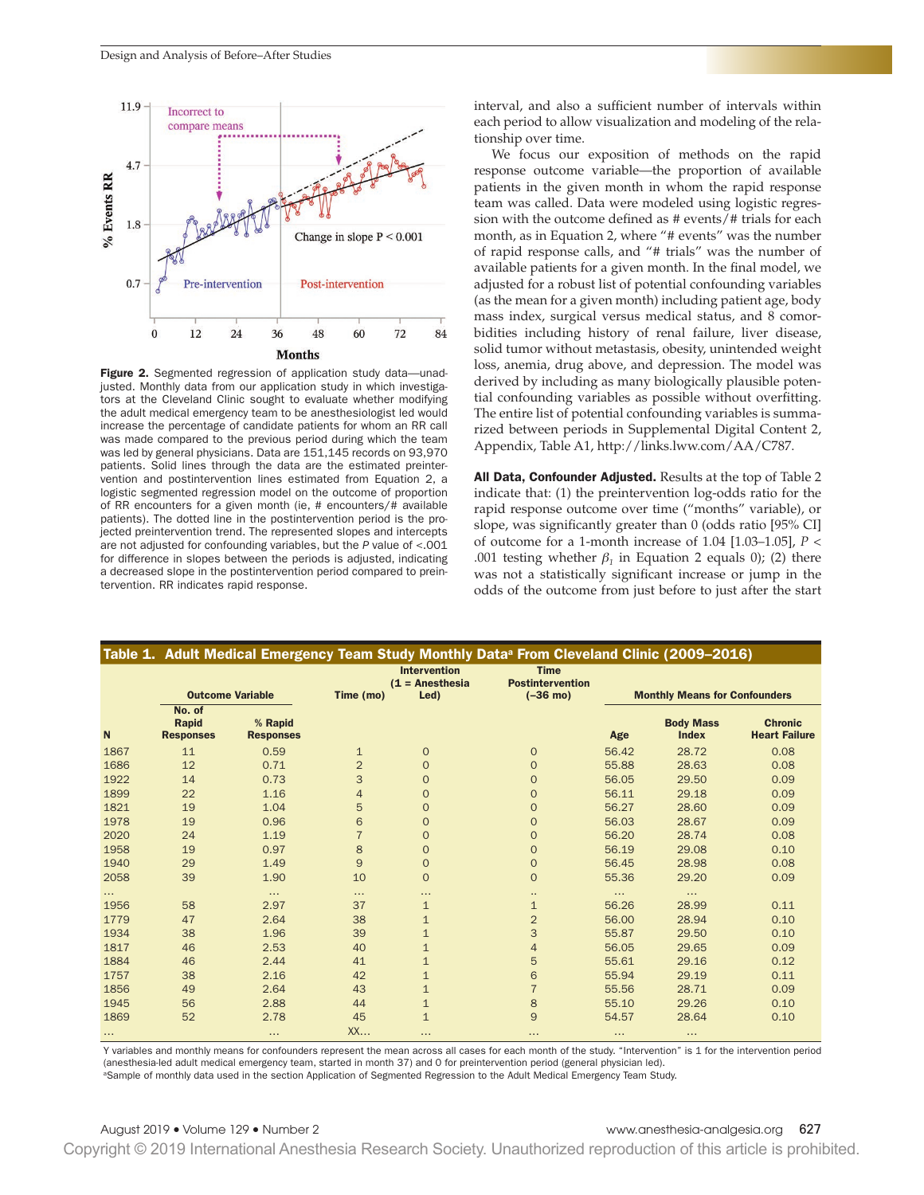

Figure 2. Segmented regression of application study data-unadjusted. Monthly data from our application study in which investigators at the Cleveland Clinic sought to evaluate whether modifying the adult medical emergency team to be anesthesiologist led would increase the percentage of candidate patients for whom an RR call was made compared to the previous period during which the team was led by general physicians. Data are 151,145 records on 93,970 patients. Solid lines through the data are the estimated preintervention and postintervention lines estimated from Equation 2, a logistic segmented regression model on the outcome of proportion of RR encounters for a given month (ie, # encounters/# available patients). The dotted line in the postintervention period is the projected preintervention trend. The represented slopes and intercepts are not adjusted for confounding variables, but the *P* value of <.001 for difference in slopes between the periods is adjusted, indicating a decreased slope in the postintervention period compared to preintervention. RR indicates rapid response.

interval, and also a sufficient number of intervals within each period to allow visualization and modeling of the relationship over time.

We focus our exposition of methods on the rapid response outcome variable—the proportion of available patients in the given month in whom the rapid response team was called. Data were modeled using logistic regression with the outcome defned as # events/# trials for each month, as in Equation 2, where "# events" was the number of rapid response calls, and "# trials" was the number of available patients for a given month. In the final model, we adjusted for a robust list of potential confounding variables (as the mean for a given month) including patient age, body mass index, surgical versus medical status, and 8 comorbidities including history of renal failure, liver disease, solid tumor without metastasis, obesity, unintended weight loss, anemia, drug above, and depression. The model was derived by including as many biologically plausible potential confounding variables as possible without overfitting. The entire list of potential confounding variables is summarized between periods in Supplemental Digital Content 2, Appendix, Table A1, http://links.lww.com/AA/C787.

All Data, Confounder Adjusted. Results at the top of Table 2 indicate that: (1) the preintervention log-odds ratio for the rapid response outcome over time ("months" variable), or slope, was significantly greater than 0 (odds ratio [95% CI] of outcome for a 1-month increase of 1.04 [1.03–1.05], *P* < .001 testing whether  $\beta_1$  in Equation 2 equals 0); (2) there was not a statistically significant increase or jump in the odds of the outcome from just before to just after the start

|                  |                                            |                             |                | <b>Intervention</b><br>$(1 =$ Anesthesia | <b>Time</b><br><b>Postintervention</b> |                                      |                                  |                                        |
|------------------|--------------------------------------------|-----------------------------|----------------|------------------------------------------|----------------------------------------|--------------------------------------|----------------------------------|----------------------------------------|
|                  | <b>Outcome Variable</b>                    |                             | Time (mo)      | Led)                                     | $(-36 \text{ mo})$                     | <b>Monthly Means for Confounders</b> |                                  |                                        |
| $\mathbf N$      | No. of<br><b>Rapid</b><br><b>Responses</b> | % Rapid<br><b>Responses</b> |                |                                          |                                        | Age                                  | <b>Body Mass</b><br><b>Index</b> | <b>Chronic</b><br><b>Heart Failure</b> |
| 1867             | 11                                         | 0.59                        | $\mathbf{1}$   | $\mathbf{O}$                             | $\mathbf{O}$                           | 56.42                                | 28.72                            | 0.08                                   |
| 1686             | 12                                         | 0.71                        | $\overline{2}$ | $\Omega$                                 | $\Omega$                               | 55.88                                | 28.63                            | 0.08                                   |
| 1922             | 14                                         | 0.73                        | 3              | $\mathbf{O}$                             | $\Omega$                               | 56.05                                | 29.50                            | 0.09                                   |
| 1899             | 22                                         | 1.16                        | $\overline{4}$ | $\mathbf{O}$                             | $\mathbf{O}$                           | 56.11                                | 29.18                            | 0.09                                   |
| 1821             | 19                                         | 1.04                        | 5              | $\mathbf{O}$                             | $\mathbf{O}$                           | 56.27                                | 28.60                            | 0.09                                   |
| 1978             | 19                                         | 0.96                        | 6              | $\mathbf{O}$                             | $\Omega$                               | 56.03                                | 28.67                            | 0.09                                   |
| 2020             | 24                                         | 1.19                        | $\overline{7}$ | $\overline{O}$                           | $\mathbf{O}$                           | 56.20                                | 28.74                            | 0.08                                   |
| 1958             | 19                                         | 0.97                        | 8              | $\overline{O}$                           | $\Omega$                               | 56.19                                | 29.08                            | 0.10                                   |
| 1940             | 29                                         | 1.49                        | 9              | $\mathbf{O}$                             | $\mathbf{O}$                           | 56.45                                | 28.98                            | 0.08                                   |
| 2058             | 39                                         | 1.90                        | 10             | $\mathbf{O}$                             | $\mathbf{O}$                           | 55.36                                | 29.20                            | 0.09                                   |
| $\cdots$<br>1956 | 58                                         | $\cdots$<br>2.97            | $\cdots$<br>37 | $\cdots$<br>$\mathbf{1}$                 | <br>$\mathbf{1}$                       | $\cdots$<br>56.26                    | <br>28.99                        | 0.11                                   |
| 1779             | 47                                         | 2.64                        | 38             | $\mathbf{1}$                             | $\overline{2}$                         | 56.00                                | 28.94                            | 0.10                                   |
| 1934             | 38                                         | 1.96                        | 39             | $\mathbf{1}$                             | 3                                      | 55.87                                | 29.50                            | 0.10                                   |
| 1817             | 46                                         | 2.53                        | 40             | $\mathbf{1}$                             | $\overline{4}$                         | 56.05                                | 29.65                            | 0.09                                   |
| 1884             | 46                                         | 2.44                        | 41             | $\mathbf{1}$                             | 5                                      | 55.61                                | 29.16                            | 0.12                                   |
| 1757             | 38                                         | 2.16                        | 42             | $\mathbf{1}$                             | 6                                      | 55.94                                | 29.19                            | 0.11                                   |
| 1856             | 49                                         | 2.64                        | 43             | $\mathbf{1}$                             | $\overline{7}$                         | 55.56                                | 28.71                            | 0.09                                   |
| 1945             | 56                                         | 2.88                        | 44             | $\mathbf{1}$                             | 8                                      | 55.10                                | 29.26                            | 0.10                                   |
| 1869             | 52                                         | 2.78                        | 45             | $\mathbf{1}$                             | 9                                      | 54.57                                | 28.64                            | 0.10                                   |
| $\sim$ $\sim$    |                                            | $\cdots$                    | XX             | $\cdots$                                 | $\cdots$                               | $\cdots$                             | $\cdots$                         |                                        |

Y variables and monthly means for confounders represent the mean across all cases for each month of the study. "Intervention" is 1 for the intervention period (anesthesia-led adult medical emergency team, started in month 37) and 0 for preintervention period (general physician led).

<sup>a</sup>Sample of monthly data used in the section Application of Segmented Regression to the Adult Medical Emergency Team Study.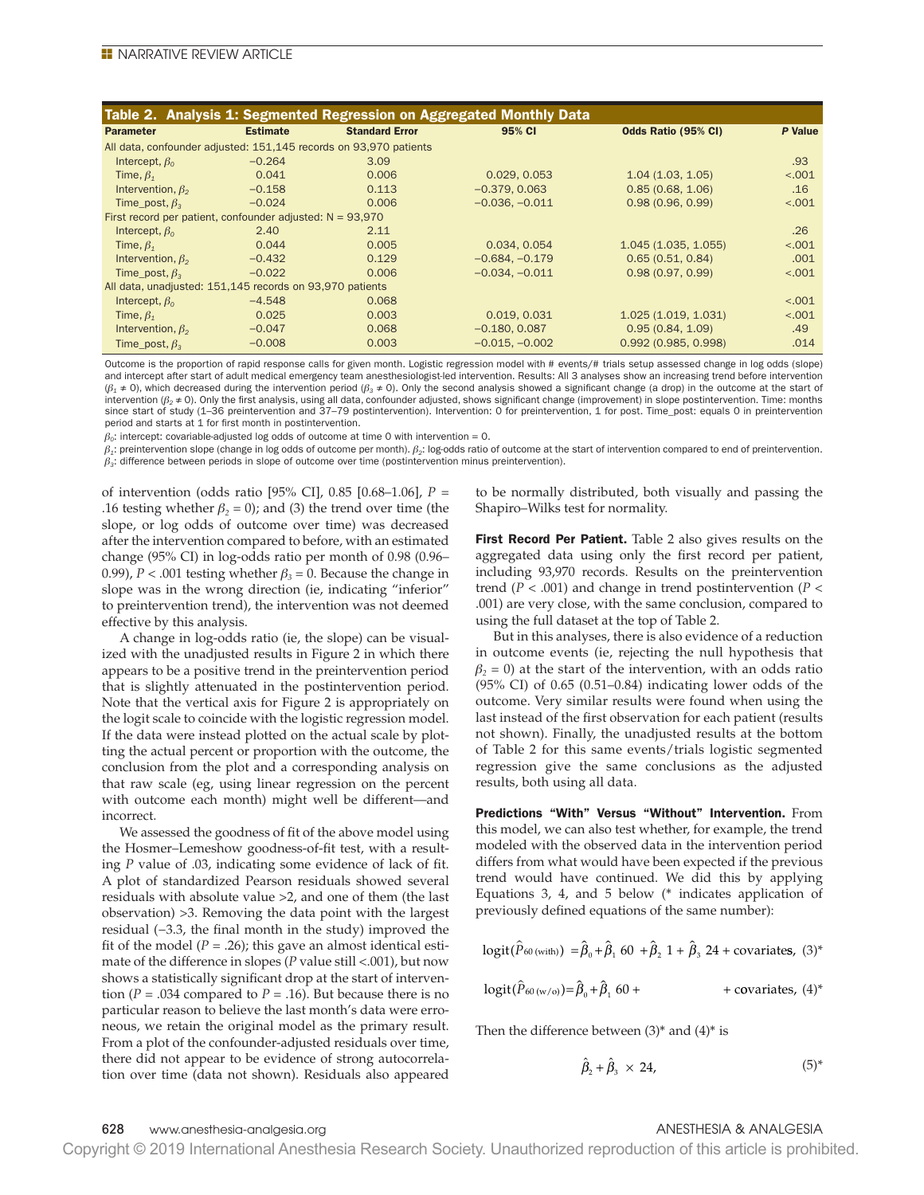| Table 2. Analysis 1: Segmented Regression on Aggregated Monthly Data |                 |                                                                   |                  |                     |         |  |  |  |
|----------------------------------------------------------------------|-----------------|-------------------------------------------------------------------|------------------|---------------------|---------|--|--|--|
| <b>Parameter</b>                                                     | <b>Estimate</b> | <b>Standard Error</b>                                             | 95% CI           | Odds Ratio (95% CI) | P Value |  |  |  |
|                                                                      |                 | All data, confounder adjusted: 151,145 records on 93,970 patients |                  |                     |         |  |  |  |
| Intercept, $\beta_0$                                                 | $-0.264$        | 3.09                                                              |                  |                     | .93     |  |  |  |
| Time, $\beta_1$                                                      | 0.041           | 0.006                                                             | 0.029, 0.053     | 1.04(1.03, 1.05)    | < .001  |  |  |  |
| Intervention, $\beta_2$                                              | $-0.158$        | 0.113                                                             | $-0.379, 0.063$  | 0.85(0.68, 1.06)    | .16     |  |  |  |
| Time post, $\beta$ <sub>2</sub>                                      | $-0.024$        | 0.006                                                             | $-0.036, -0.011$ | 0.98(0.96, 0.99)    | < .001  |  |  |  |
| First record per patient, confounder adjusted: $N = 93,970$          |                 |                                                                   |                  |                     |         |  |  |  |
| Intercept, $\beta_0$                                                 | 2.40            | 2.11                                                              |                  |                     | .26     |  |  |  |
| Time, $\beta_{\tau}$                                                 | 0.044           | 0.005                                                             | 0.034, 0.054     | 1.045(1.035, 1.055) | < .001  |  |  |  |
| Intervention, $\beta_2$                                              | $-0.432$        | 0.129                                                             | $-0.684, -0.179$ | 0.65(0.51, 0.84)    | .001    |  |  |  |
| Time post, $\beta$ .                                                 | $-0.022$        | 0.006                                                             | $-0.034, -0.011$ | 0.98(0.97, 0.99)    | < .001  |  |  |  |
| All data, unadjusted: 151,145 records on 93,970 patients             |                 |                                                                   |                  |                     |         |  |  |  |
| Intercept, $\beta_0$                                                 | $-4.548$        | 0.068                                                             |                  |                     | < .001  |  |  |  |
| Time, $\beta_1$                                                      | 0.025           | 0.003                                                             | 0.019, 0.031     | 1.025(1.019, 1.031) | < .001  |  |  |  |
| Intervention, $\beta_2$                                              | $-0.047$        | 0.068                                                             | $-0.180, 0.087$  | 0.95(0.84, 1.09)    | .49     |  |  |  |
| Time_post, $\beta$ <sub>3</sub>                                      | $-0.008$        | 0.003                                                             | $-0.015, -0.002$ | 0.992(0.985, 0.998) | .014    |  |  |  |

Outcome is the proportion of rapid response calls for given month. Logistic regression model with # events/# trials setup assessed change in log odds (slope) and intercept after start of adult medical emergency team anesthesiologist-led intervention. Results: All 3 analyses show an increasing trend before intervention (*β<sup>1</sup>* ≠ 0), which decreased during the intervention period (*β<sup>3</sup>* ≠ 0). Only the second analysis showed a signifcant change (a drop) in the outcome at the start of intervention (*β<sup>2</sup>* ≠ 0). Only the frst analysis, using all data, confounder adjusted, shows signifcant change (improvement) in slope postintervention. Time: months since start of study (1-36 preintervention and 37-79 postintervention). Intervention: 0 for preintervention, 1 for post. Time\_post: equals 0 in preintervention period and starts at 1 for first month in postintervention.

 $\beta_0$ : intercept: covariable-adjusted log odds of outcome at time 0 with intervention = 0.

*β<sup>1</sup>* : preintervention slope (change in log odds of outcome per month). *β<sup>2</sup>* : log-odds ratio of outcome at the start of intervention compared to end of preintervention. *β<sup>3</sup>* : difference between periods in slope of outcome over time (postintervention minus preintervention).

of intervention (odds ratio [95% CI], 0.85 [0.68–1.06], *P* = .16 testing whether  $\beta_2 = 0$ ); and (3) the trend over time (the slope, or log odds of outcome over time) was decreased after the intervention compared to before, with an estimated change (95% CI) in log-odds ratio per month of 0.98 (0.96– 0.99),  $P < .001$  testing whether  $\beta_3 = 0$ . Because the change in slope was in the wrong direction (ie, indicating "inferior" to preintervention trend), the intervention was not deemed effective by this analysis.

A change in log-odds ratio (ie, the slope) can be visualized with the unadjusted results in Figure 2 in which there appears to be a positive trend in the preintervention period that is slightly attenuated in the postintervention period. Note that the vertical axis for Figure 2 is appropriately on the logit scale to coincide with the logistic regression model. If the data were instead plotted on the actual scale by plotting the actual percent or proportion with the outcome, the conclusion from the plot and a corresponding analysis on that raw scale (eg, using linear regression on the percent with outcome each month) might well be different—and incorrect.

We assessed the goodness of fit of the above model using the Hosmer–Lemeshow goodness-of-ft test, with a resulting *P* value of .03, indicating some evidence of lack of ft. A plot of standardized Pearson residuals showed several residuals with absolute value >2, and one of them (the last observation) >3. Removing the data point with the largest residual (-3.3, the final month in the study) improved the fit of the model  $(P = .26)$ ; this gave an almost identical estimate of the difference in slopes (*P* value still <.001), but now shows a statistically significant drop at the start of intervention ( $P = .034$  compared to  $P = .16$ ). But because there is no particular reason to believe the last month's data were erroneous, we retain the original model as the primary result. From a plot of the confounder-adjusted residuals over time, there did not appear to be evidence of strong autocorrelation over time (data not shown). Residuals also appeared

to be normally distributed, both visually and passing the Shapiro–Wilks test for normality.

First Record Per Patient. Table 2 also gives results on the aggregated data using only the first record per patient, including 93,970 records. Results on the preintervention trend (*P* < .001) and change in trend postintervention (*P* < .001) are very close, with the same conclusion, compared to using the full dataset at the top of Table 2.

But in this analyses, there is also evidence of a reduction in outcome events (ie, rejecting the null hypothesis that  $\beta$ <sub>2</sub> = 0) at the start of the intervention, with an odds ratio (95% CI) of 0.65 (0.51–0.84) indicating lower odds of the outcome. Very similar results were found when using the last instead of the frst observation for each patient (results not shown). Finally, the unadjusted results at the bottom of Table 2 for this same events/trials logistic segmented regression give the same conclusions as the adjusted results, both using all data.

Predictions "With" Versus "Without" Intervention. From this model, we can also test whether, for example, the trend modeled with the observed data in the intervention period differs from what would have been expected if the previous trend would have continued. We did this by applying Equations 3, 4, and 5 below (\* indicates application of previously defned equations of the same number):

$$
logit(\hat{P}_{60 \text{ (with)}}) = \hat{\beta}_0 + \hat{\beta}_1 60 + \hat{\beta}_2 1 + \hat{\beta}_3 24 + covariates, (3)^*
$$

$$
logit(\hat{P}_{60(w/o)}) = \hat{\beta}_0 + \hat{\beta}_1 60 + + covariates, (4)^*
$$

Then the difference between  $(3)$ <sup>\*</sup> and  $(4)$ <sup>\*</sup> is

$$
\hat{\beta}_2 + \hat{\beta}_3 \times 24,\tag{5}^*
$$

# 628 www.anesthesia-analgesia.org ANESTHESIA & ANALGESIA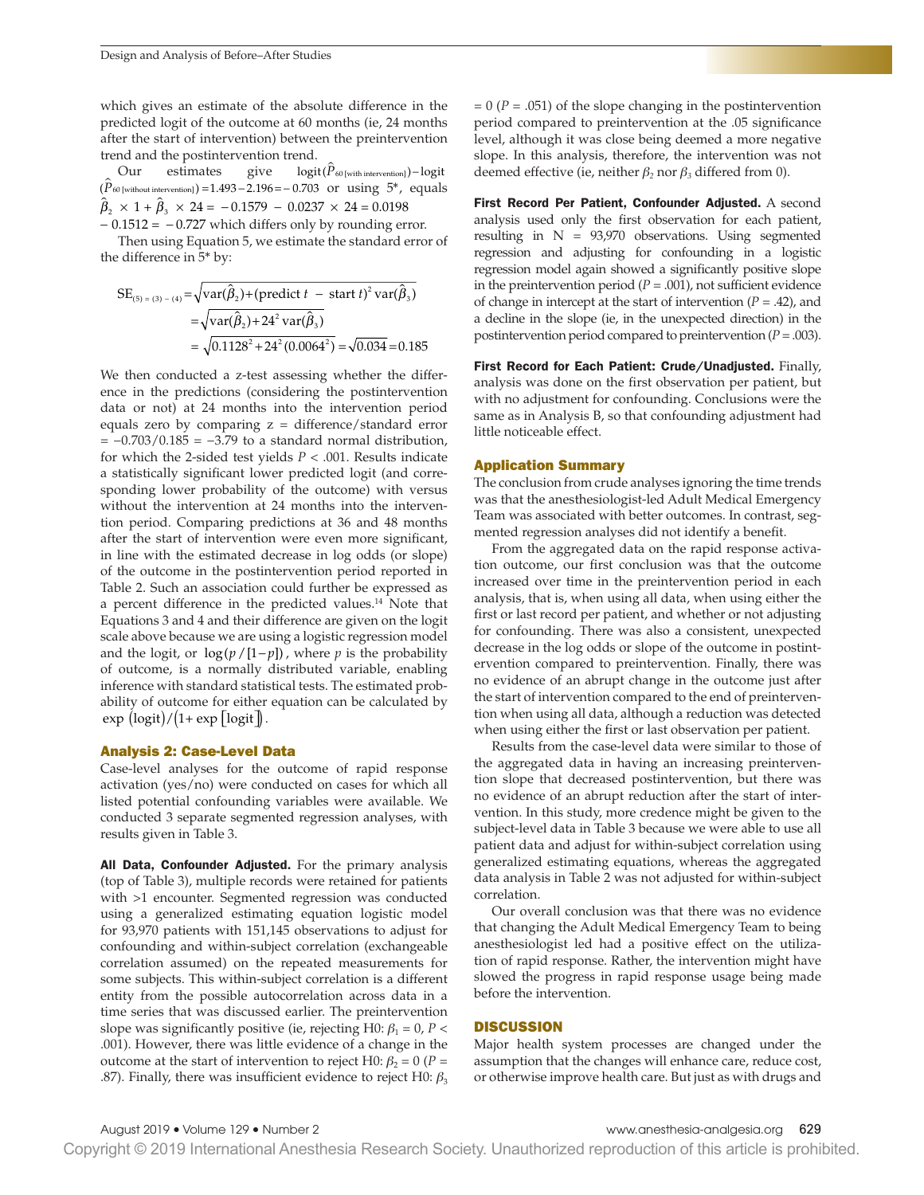which gives an estimate of the absolute difference in the predicted logit of the outcome at 60 months (ie, 24 months after the start of intervention) between the preintervention trend and the postintervention trend.

Our estimates give  $logit(P_{60 [with\text{ intervention}]}) - logit$ ( $P_{60}$ [without intervention]) =1.493 − 2.196 = − 0.703 or using 5<sup>\*</sup>, equals  $\hat{\beta}_2 \times 1 + \hat{\beta}_3 \times 24 = -0.1579 - 0.0237 \times 24 = 0.0198$  $-0.1512 = -0.727$  which differs only by rounding error.

Then using Equation 5, we estimate the standard error of the difference in 5\* by:

$$
SE_{(5) = (3) - (4)} = \sqrt{\text{var}(\hat{\beta}_2) + (\text{predict } t - \text{ start } t)^2 \text{var}(\hat{\beta}_3)}
$$
  
=  $\sqrt{\text{var}(\hat{\beta}_2) + 24^2 \text{var}(\hat{\beta}_3)}$   
=  $\sqrt{0.1128^2 + 24^2 (0.0064^2)} = \sqrt{0.034} = 0.185$ 

We then conducted a z-test assessing whether the difference in the predictions (considering the postintervention data or not) at 24 months into the intervention period equals zero by comparing  $z =$  difference/standard error = −0.703/0.185 = −3.79 to a standard normal distribution, for which the 2-sided test yields *P* < .001. Results indicate a statistically significant lower predicted logit (and corresponding lower probability of the outcome) with versus without the intervention at 24 months into the intervention period. Comparing predictions at 36 and 48 months after the start of intervention were even more significant, in line with the estimated decrease in log odds (or slope) of the outcome in the postintervention period reported in Table 2. Such an association could further be expressed as a percent difference in the predicted values.14 Note that Equations 3 and 4 and their difference are given on the logit scale above because we are using a logistic regression model and the logit, or  $\log(p / [1-p])$ , where *p* is the probability of outcome, is a normally distributed variable, enabling inference with standard statistical tests. The estimated probability of outcome for either equation can be calculated by  $\exp\left(\frac{\log(t)}{1+\exp\left(\log(t)\right)}\right)$ .

#### Analysis 2: Case-Level Data

Case-level analyses for the outcome of rapid response activation (yes/no) were conducted on cases for which all listed potential confounding variables were available. We conducted 3 separate segmented regression analyses, with results given in Table 3.

All Data, Confounder Adjusted. For the primary analysis (top of Table 3), multiple records were retained for patients with >1 encounter. Segmented regression was conducted using a generalized estimating equation logistic model for 93,970 patients with 151,145 observations to adjust for confounding and within-subject correlation (exchangeable correlation assumed) on the repeated measurements for some subjects. This within-subject correlation is a different entity from the possible autocorrelation across data in a time series that was discussed earlier. The preintervention slope was significantly positive (ie, rejecting H0:  $\beta_1 = 0$ ,  $P <$ .001). However, there was little evidence of a change in the outcome at the start of intervention to reject H0:  $β_2 = 0$  (*P* = .87). Finally, there was insufficient evidence to reject H0:  $\beta_3$ 

 $= 0$  ( $P = .051$ ) of the slope changing in the postintervention period compared to preintervention at the .05 signifcance level, although it was close being deemed a more negative slope. In this analysis, therefore, the intervention was not deemed effective (ie, neither *β2* nor *β3* differed from 0).

First Record Per Patient, Confounder Adjusted. A second analysis used only the first observation for each patient, resulting in  $N = 93,970$  observations. Using segmented regression and adjusting for confounding in a logistic regression model again showed a significantly positive slope in the preintervention period  $(P = .001)$ , not sufficient evidence of change in intercept at the start of intervention  $(P = .42)$ , and a decline in the slope (ie, in the unexpected direction) in the postintervention period compared to preintervention (*P* = .003).

First Record for Each Patient: Crude/Unadjusted. Finally, analysis was done on the frst observation per patient, but with no adjustment for confounding. Conclusions were the same as in Analysis B, so that confounding adjustment had little noticeable effect.

# Application Summary

The conclusion from crude analyses ignoring the time trends was that the anesthesiologist-led Adult Medical Emergency Team was associated with better outcomes. In contrast, segmented regression analyses did not identify a beneft.

From the aggregated data on the rapid response activation outcome, our frst conclusion was that the outcome increased over time in the preintervention period in each analysis, that is, when using all data, when using either the first or last record per patient, and whether or not adjusting for confounding. There was also a consistent, unexpected decrease in the log odds or slope of the outcome in postintervention compared to preintervention. Finally, there was no evidence of an abrupt change in the outcome just after the start of intervention compared to the end of preintervention when using all data, although a reduction was detected when using either the first or last observation per patient.

Results from the case-level data were similar to those of the aggregated data in having an increasing preintervention slope that decreased postintervention, but there was no evidence of an abrupt reduction after the start of intervention. In this study, more credence might be given to the subject-level data in Table 3 because we were able to use all patient data and adjust for within-subject correlation using generalized estimating equations, whereas the aggregated data analysis in Table 2 was not adjusted for within-subject correlation.

Our overall conclusion was that there was no evidence that changing the Adult Medical Emergency Team to being anesthesiologist led had a positive effect on the utilization of rapid response. Rather, the intervention might have slowed the progress in rapid response usage being made before the intervention.

#### **DISCUSSION**

Major health system processes are changed under the assumption that the changes will enhance care, reduce cost, or otherwise improve health care. But just as with drugs and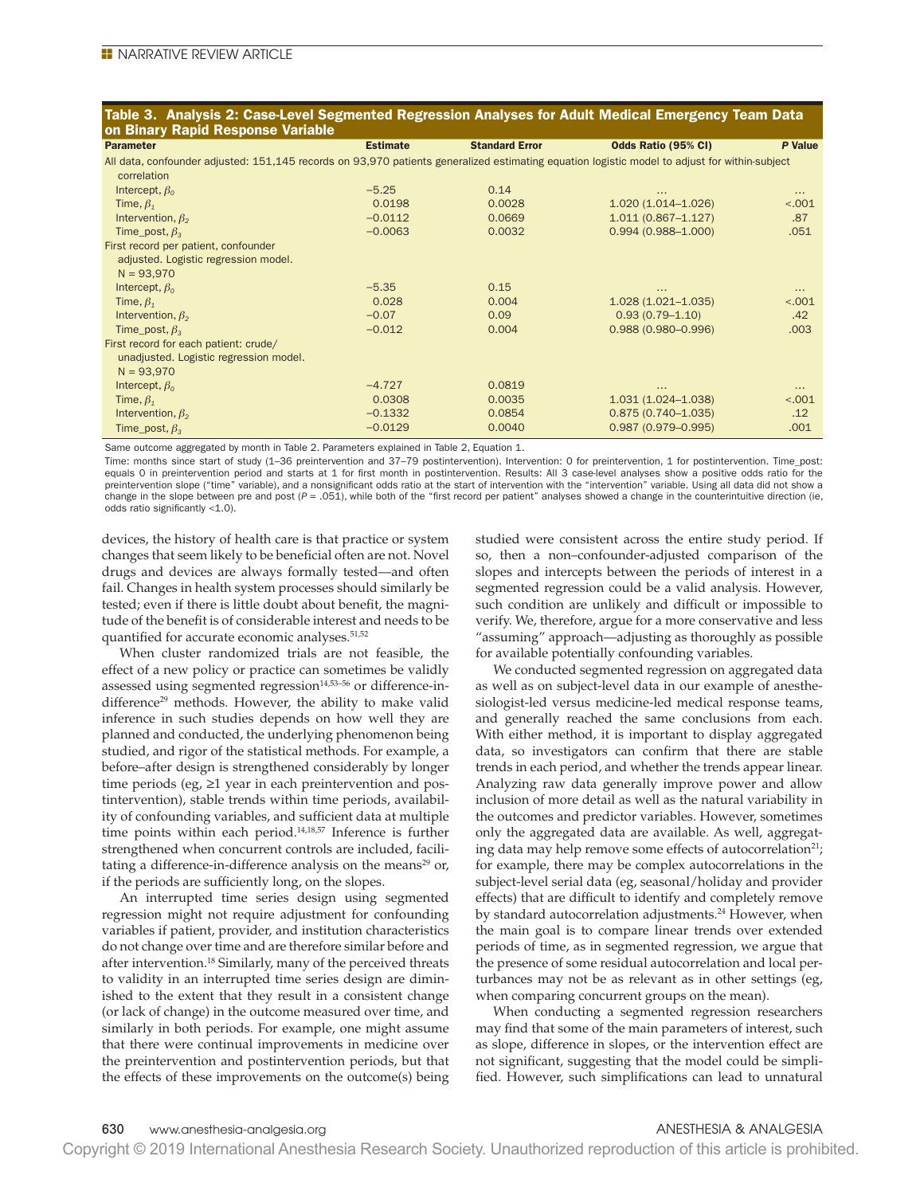# Table 3. Analysis 2: Case-Level Segmented Regression Analyses for Adult Medical Emergency Team Data on Binary Rapid Response Variable

Parameter Estimate Standard Error Odds Ratio (95% CI) *P* Value All data, confounder adjusted: 151,145 records on 93,970 patients generalized estimating equation logistic model to adjust for within-subject

| correlation                            |           |        |                        |          |
|----------------------------------------|-----------|--------|------------------------|----------|
| Intercept, $\beta_0$                   | $-5.25$   | 0.14   | $\cdots$               | $\cdots$ |
| Time, $\beta_1$                        | 0.0198    | 0.0028 | $1.020(1.014 - 1.026)$ | < .001   |
| Intervention, $\beta_2$                | $-0.0112$ | 0.0669 | $1.011(0.867 - 1.127)$ | .87      |
| Time_post, $\beta$ <sub>3</sub>        | $-0.0063$ | 0.0032 | $0.994(0.988 - 1.000)$ | .051     |
| First record per patient, confounder   |           |        |                        |          |
| adjusted. Logistic regression model.   |           |        |                        |          |
| $N = 93,970$                           |           |        |                        |          |
| Intercept, $\beta_0$                   | $-5.35$   | 0.15   | $\cdots$               | $\cdots$ |
| Time, $\beta_1$                        | 0.028     | 0.004  | $1.028(1.021 - 1.035)$ | < .001   |
| Intervention, $\beta_2$                | $-0.07$   | 0.09   | $0.93(0.79 - 1.10)$    | .42      |
| Time_post, $\beta$ <sub>3</sub>        | $-0.012$  | 0.004  | $0.988(0.980 - 0.996)$ | .003     |
| First record for each patient: crude/  |           |        |                        |          |
| unadjusted. Logistic regression model. |           |        |                        |          |
| $N = 93,970$                           |           |        |                        |          |
| Intercept, $\beta_0$                   | $-4.727$  | 0.0819 | $\cdots$               | $\cdots$ |
| Time, $\beta_1$                        | 0.0308    | 0.0035 | $1.031(1.024 - 1.038)$ | < .001   |
| Intervention, $\beta_2$                | $-0.1332$ | 0.0854 | $0.875(0.740 - 1.035)$ | .12      |
| Time_post, $\beta_{3}$                 | $-0.0129$ | 0.0040 | $0.987(0.979 - 0.995)$ | .001     |

Same outcome aggregated by month in Table 2. Parameters explained in Table 2, Equation 1.

Time: months since start of study (1-36 preintervention and 37-79 postintervention). Intervention: 0 for preintervention, 1 for postintervention. Time\_post: equals 0 in preintervention period and starts at 1 for frst month in postintervention. Results: All 3 case-level analyses show a positive odds ratio for the preintervention slope ("time" variable), and a nonsignificant odds ratio at the start of intervention with the "intervention" variable. Using all data did not show a change in the slope between pre and post ( $P = .051$ ), while both of the "first record per patient" analyses showed a change in the counterintuitive direction (ie, odds ratio significantly <1.0).

devices, the history of health care is that practice or system changes that seem likely to be beneficial often are not. Novel drugs and devices are always formally tested—and often fail. Changes in health system processes should similarly be tested; even if there is little doubt about beneft, the magnitude of the benefit is of considerable interest and needs to be quantified for accurate economic analyses.<sup>51,52</sup>

When cluster randomized trials are not feasible, the effect of a new policy or practice can sometimes be validly assessed using segmented regression<sup>14,53-56</sup> or difference-indifference<sup>29</sup> methods. However, the ability to make valid inference in such studies depends on how well they are planned and conducted, the underlying phenomenon being studied, and rigor of the statistical methods. For example, a before–after design is strengthened considerably by longer time periods (eg, ≥1 year in each preintervention and postintervention), stable trends within time periods, availability of confounding variables, and sufficient data at multiple time points within each period.14,18,57 Inference is further strengthened when concurrent controls are included, facilitating a difference-in-difference analysis on the means<sup>29</sup> or, if the periods are sufficiently long, on the slopes.

An interrupted time series design using segmented regression might not require adjustment for confounding variables if patient, provider, and institution characteristics do not change over time and are therefore similar before and after intervention.<sup>18</sup> Similarly, many of the perceived threats to validity in an interrupted time series design are diminished to the extent that they result in a consistent change (or lack of change) in the outcome measured over time, and similarly in both periods. For example, one might assume that there were continual improvements in medicine over the preintervention and postintervention periods, but that the effects of these improvements on the outcome(s) being

studied were consistent across the entire study period. If so, then a non–confounder-adjusted comparison of the slopes and intercepts between the periods of interest in a segmented regression could be a valid analysis. However, such condition are unlikely and difficult or impossible to verify. We, therefore, argue for a more conservative and less "assuming" approach—adjusting as thoroughly as possible for available potentially confounding variables.

We conducted segmented regression on aggregated data as well as on subject-level data in our example of anesthesiologist-led versus medicine-led medical response teams, and generally reached the same conclusions from each. With either method, it is important to display aggregated data, so investigators can confrm that there are stable trends in each period, and whether the trends appear linear. Analyzing raw data generally improve power and allow inclusion of more detail as well as the natural variability in the outcomes and predictor variables. However, sometimes only the aggregated data are available. As well, aggregating data may help remove some effects of autocorrelation<sup>21</sup>; for example, there may be complex autocorrelations in the subject-level serial data (eg, seasonal/holiday and provider effects) that are difficult to identify and completely remove by standard autocorrelation adjustments.<sup>24</sup> However, when the main goal is to compare linear trends over extended periods of time, as in segmented regression, we argue that the presence of some residual autocorrelation and local perturbances may not be as relevant as in other settings (eg, when comparing concurrent groups on the mean).

When conducting a segmented regression researchers may find that some of the main parameters of interest, such as slope, difference in slopes, or the intervention effect are not signifcant, suggesting that the model could be simplified. However, such simplifications can lead to unnatural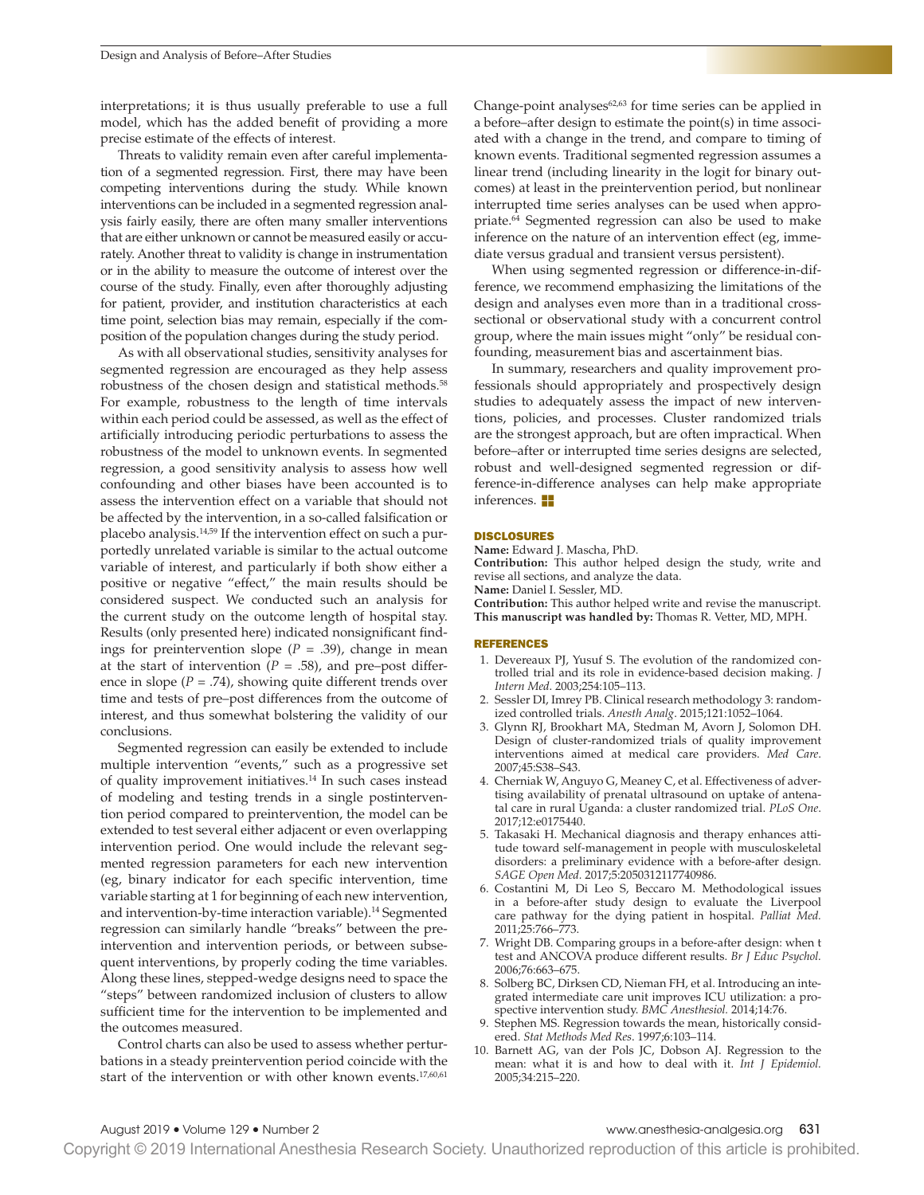interpretations; it is thus usually preferable to use a full model, which has the added beneft of providing a more precise estimate of the effects of interest.

Threats to validity remain even after careful implementation of a segmented regression. First, there may have been competing interventions during the study. While known interventions can be included in a segmented regression analysis fairly easily, there are often many smaller interventions that are either unknown or cannot be measured easily or accurately. Another threat to validity is change in instrumentation or in the ability to measure the outcome of interest over the course of the study. Finally, even after thoroughly adjusting for patient, provider, and institution characteristics at each time point, selection bias may remain, especially if the composition of the population changes during the study period.

As with all observational studies, sensitivity analyses for segmented regression are encouraged as they help assess robustness of the chosen design and statistical methods.<sup>58</sup> For example, robustness to the length of time intervals within each period could be assessed, as well as the effect of artifcially introducing periodic perturbations to assess the robustness of the model to unknown events. In segmented regression, a good sensitivity analysis to assess how well confounding and other biases have been accounted is to assess the intervention effect on a variable that should not be affected by the intervention, in a so-called falsification or placebo analysis.14,59 If the intervention effect on such a purportedly unrelated variable is similar to the actual outcome variable of interest, and particularly if both show either a positive or negative "effect," the main results should be considered suspect. We conducted such an analysis for the current study on the outcome length of hospital stay. Results (only presented here) indicated nonsignifcant fndings for preintervention slope (*P* = .39), change in mean at the start of intervention  $(P = .58)$ , and pre–post difference in slope  $(P = .74)$ , showing quite different trends over time and tests of pre–post differences from the outcome of interest, and thus somewhat bolstering the validity of our conclusions.

Segmented regression can easily be extended to include multiple intervention "events," such as a progressive set of quality improvement initiatives.14 In such cases instead of modeling and testing trends in a single postintervention period compared to preintervention, the model can be extended to test several either adjacent or even overlapping intervention period. One would include the relevant segmented regression parameters for each new intervention (eg, binary indicator for each specifc intervention, time variable starting at 1 for beginning of each new intervention, and intervention-by-time interaction variable).<sup>14</sup> Segmented regression can similarly handle "breaks" between the preintervention and intervention periods, or between subsequent interventions, by properly coding the time variables. Along these lines, stepped-wedge designs need to space the "steps" between randomized inclusion of clusters to allow sufficient time for the intervention to be implemented and the outcomes measured.

Control charts can also be used to assess whether perturbations in a steady preintervention period coincide with the start of the intervention or with other known events.<sup>17,60,61</sup> Change-point analyses<sup>62,63</sup> for time series can be applied in a before–after design to estimate the point(s) in time associated with a change in the trend, and compare to timing of known events. Traditional segmented regression assumes a linear trend (including linearity in the logit for binary outcomes) at least in the preintervention period, but nonlinear interrupted time series analyses can be used when appropriate.64 Segmented regression can also be used to make inference on the nature of an intervention effect (eg, immediate versus gradual and transient versus persistent).

When using segmented regression or difference-in-difference, we recommend emphasizing the limitations of the design and analyses even more than in a traditional crosssectional or observational study with a concurrent control group, where the main issues might "only" be residual confounding, measurement bias and ascertainment bias.

In summary, researchers and quality improvement professionals should appropriately and prospectively design studies to adequately assess the impact of new interventions, policies, and processes. Cluster randomized trials are the strongest approach, but are often impractical. When before–after or interrupted time series designs are selected, robust and well-designed segmented regression or difference-in-difference analyses can help make appropriate inferences. **Exercise** 

#### DISCLOSURES

**Name:** Edward J. Mascha, PhD.

**Contribution:** This author helped design the study, write and revise all sections, and analyze the data.

**Name:** Daniel I. Sessler, MD.

**Contribution:** This author helped write and revise the manuscript. **This manuscript was handled by:** Thomas R. Vetter, MD, MPH.

#### REFERENCES

- 1. Devereaux PJ, Yusuf S. The evolution of the randomized controlled trial and its role in evidence-based decision making. *J Intern Med*. 2003;254:105–113.
- 2. Sessler DI, Imrey PB. Clinical research methodology 3: randomized controlled trials. *Anesth Analg*. 2015;121:1052–1064.
- 3. Glynn RJ, Brookhart MA, Stedman M, Avorn J, Solomon DH. Design of cluster-randomized trials of quality improvement interventions aimed at medical care providers. *Med Care*. 2007;45:S38–S43.
- 4. Cherniak W, Anguyo G, Meaney C, et al. Effectiveness of advertising availability of prenatal ultrasound on uptake of antenatal care in rural Uganda: a cluster randomized trial. *PLoS One*. 2017;12:e0175440.
- 5. Takasaki H. Mechanical diagnosis and therapy enhances attitude toward self-management in people with musculoskeletal disorders: a preliminary evidence with a before-after design. *SAGE Open Med.* 2017;5:2050312117740986.
- 6. Costantini M, Di Leo S, Beccaro M. Methodological issues in a before-after study design to evaluate the Liverpool care pathway for the dying patient in hospital. *Palliat Med.* 2011;25:766–773.
- 7. Wright DB. Comparing groups in a before-after design: when t test and ANCOVA produce different results. *Br J Educ Psychol.* 2006;76:663–675.
- 8. Solberg BC, Dirksen CD, Nieman FH, et al. Introducing an integrated intermediate care unit improves ICU utilization: a prospective intervention study. *BMC Anesthesiol.* 2014;14:76.
- 9. Stephen MS. Regression towards the mean, historically considered. *Stat Methods Med Res*. 1997;6:103–114.
- 10. Barnett AG, van der Pols JC, Dobson AJ. Regression to the mean: what it is and how to deal with it. *Int J Epidemiol.* 2005;34:215–220.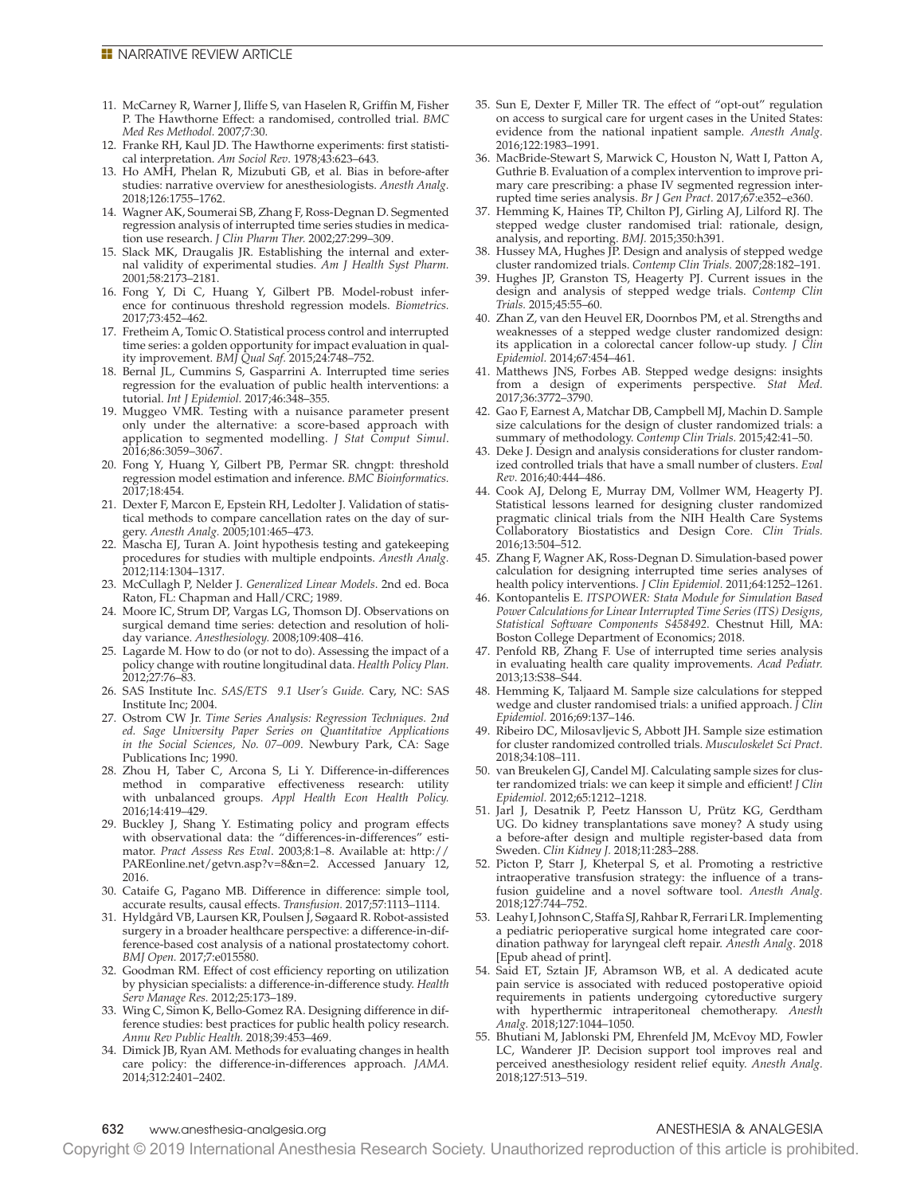#### **E** NARRATIVE REVIEW ARTICLE

- 11. McCarney R, Warner J, Iliffe S, van Haselen R, Griffin M, Fisher P. The Hawthorne Effect: a randomised, controlled trial. *BMC Med Res Methodol.* 2007;7:30.
- 12. Franke RH, Kaul JD. The Hawthorne experiments: frst statistical interpretation. *Am Sociol Rev*. 1978;43:623–643.
- 13. Ho AMH, Phelan R, Mizubuti GB, et al. Bias in before-after studies: narrative overview for anesthesiologists. *Anesth Analg.* 2018;126:1755–1762.
- 14. Wagner AK, Soumerai SB, Zhang F, Ross-Degnan D. Segmented regression analysis of interrupted time series studies in medication use research. *J Clin Pharm Ther.* 2002;27:299–309.
- 15. Slack MK, Draugalis JR. Establishing the internal and external validity of experimental studies. *Am J Health Syst Pharm.* 2001;58:2173–2181.
- 16. Fong Y, Di C, Huang Y, Gilbert PB. Model-robust inference for continuous threshold regression models. *Biometrics.* 2017;73:452–462.
- 17. Fretheim A, Tomic O. Statistical process control and interrupted time series: a golden opportunity for impact evaluation in quality improvement. *BMJ Qual Saf.* 2015;24:748–752.
- 18. Bernal JL, Cummins S, Gasparrini A. Interrupted time series regression for the evaluation of public health interventions: a tutorial. *Int J Epidemiol.* 2017;46:348–355.
- 19. Muggeo VMR. Testing with a nuisance parameter present only under the alternative: a score-based approach with application to segmented modelling. *J Stat Comput Simul*. 2016;86:3059–3067.
- 20. Fong Y, Huang Y, Gilbert PB, Permar SR. chngpt: threshold regression model estimation and inference. *BMC Bioinformatics.* 2017;18:454.
- 21. Dexter F, Marcon E, Epstein RH, Ledolter J. Validation of statistical methods to compare cancellation rates on the day of surgery. *Anesth Analg.* 2005;101:465–473.
- 22. Mascha EJ, Turan A. Joint hypothesis testing and gatekeeping procedures for studies with multiple endpoints. *Anesth Analg.* 2012;114:1304–1317.
- 23. McCullagh P, Nelder J. *Generalized Linear Models*. 2nd ed. Boca Raton, FL: Chapman and Hall/CRC; 1989.
- 24. Moore IC, Strum DP, Vargas LG, Thomson DJ. Observations on surgical demand time series: detection and resolution of holiday variance. *Anesthesiology.* 2008;109:408–416.
- 25. Lagarde M. How to do (or not to do). Assessing the impact of a policy change with routine longitudinal data. *Health Policy Plan.* 2012;27:76–83.
- 26. SAS Institute Inc. *SAS/ETS 9.1 User's Guide.* Cary, NC: SAS Institute Inc; 2004.
- 27. Ostrom CW Jr. *Time Series Analysis: Regression Techniques. 2nd ed. Sage University Paper Series on Quantitative Applications in the Social Sciences, No. 07–009*. Newbury Park, CA: Sage Publications Inc; 1990.
- 28. Zhou H, Taber C, Arcona S, Li Y. Difference-in-differences method in comparative effectiveness research: utility with unbalanced groups. *Appl Health Econ Health Policy.* 2016;14:419–429.
- 29. Buckley J, Shang Y. Estimating policy and program effects with observational data: the "differences-in-differences" estimator. *Pract Assess Res Eval*. 2003;8:1–8. Available at: http:// PAREonline.net/getvn.asp?v=8&n=2. Accessed January 12, 2016.
- 30. Cataife G, Pagano MB. Difference in difference: simple tool, accurate results, causal effects. *Transfusion.* 2017;57:1113–1114.
- 31. Hyldgård VB, Laursen KR, Poulsen J, Søgaard R. Robot-assisted surgery in a broader healthcare perspective: a difference-in-difference-based cost analysis of a national prostatectomy cohort. *BMJ Open.* 2017;7:e015580.
- 32. Goodman RM. Effect of cost efficiency reporting on utilization by physician specialists: a difference-in-difference study. *Health Serv Manage Res.* 2012;25:173–189.
- 33. Wing C, Simon K, Bello-Gomez RA. Designing difference in difference studies: best practices for public health policy research. *Annu Rev Public Health.* 2018;39:453–469.
- 34. Dimick JB, Ryan AM. Methods for evaluating changes in health care policy: the difference-in-differences approach. *JAMA.* 2014;312:2401–2402.
- 35. Sun E, Dexter F, Miller TR. The effect of "opt-out" regulation on access to surgical care for urgent cases in the United States: evidence from the national inpatient sample. *Anesth Analg.* 2016;122:1983–1991.
- 36. MacBride-Stewart S, Marwick C, Houston N, Watt I, Patton A, Guthrie B. Evaluation of a complex intervention to improve primary care prescribing: a phase IV segmented regression interrupted time series analysis. *Br J Gen Pract.* 2017;67:e352–e360.
- 37. Hemming K, Haines TP, Chilton PJ, Girling AJ, Lilford RJ. The stepped wedge cluster randomised trial: rationale, design, analysis, and reporting. *BMJ.* 2015;350:h391.
- 38. Hussey MA, Hughes JP. Design and analysis of stepped wedge cluster randomized trials. *Contemp Clin Trials.* 2007;28:182–191.
- 39. Hughes JP, Granston TS, Heagerty PJ. Current issues in the design and analysis of stepped wedge trials. *Contemp Clin Trials.* 2015;45:55–60.
- 40. Zhan Z, van den Heuvel ER, Doornbos PM, et al. Strengths and weaknesses of a stepped wedge cluster randomized design: its application in a colorectal cancer follow-up study. *J Clin Epidemiol.* 2014;67:454–461.
- 41. Matthews JNS, Forbes AB. Stepped wedge designs: insights from a design of experiments perspective. *Stat Med.* 2017;36:3772–3790.
- 42. Gao F, Earnest A, Matchar DB, Campbell MJ, Machin D. Sample size calculations for the design of cluster randomized trials: a summary of methodology. *Contemp Clin Trials.* 2015;42:41–50.
- 43. Deke J. Design and analysis considerations for cluster randomized controlled trials that have a small number of clusters. *Eval Rev*. 2016;40:444–486.
- 44. Cook AJ, Delong E, Murray DM, Vollmer WM, Heagerty PJ. Statistical lessons learned for designing cluster randomized pragmatic clinical trials from the NIH Health Care Systems Collaboratory Biostatistics and Design Core. *Clin Trials.* 2016;13:504–512.
- 45. Zhang F, Wagner AK, Ross-Degnan D. Simulation-based power calculation for designing interrupted time series analyses of health policy interventions. *J Clin Epidemiol.* 2011;64:1252–1261.
- 46. Kontopantelis E. *ITSPOWER: Stata Module for Simulation Based Power Calculations for Linear Interrupted Time Series (ITS) Designs, Statistical Software Components S458492*. Chestnut Hill, MA: Boston College Department of Economics; 2018.
- 47. Penfold RB, Zhang F. Use of interrupted time series analysis in evaluating health care quality improvements. *Acad Pediatr.* 2013;13:S38–S44.
- 48. Hemming K, Taljaard M. Sample size calculations for stepped wedge and cluster randomised trials: a unifed approach. *J Clin Epidemiol.* 2016;69:137–146.
- 49. Ribeiro DC, Milosavljevic S, Abbott JH. Sample size estimation for cluster randomized controlled trials. *Musculoskelet Sci Pract.* 2018;34:108–111.
- 50. van Breukelen GJ, Candel MJ. Calculating sample sizes for cluster randomized trials: we can keep it simple and efficient! *J Clin Epidemiol.* 2012;65:1212–1218.
- 51. Jarl J, Desatnik P, Peetz Hansson U, Prütz KG, Gerdtham UG. Do kidney transplantations save money? A study using a before-after design and multiple register-based data from Sweden. *Clin Kidney J.* 2018;11:283–288.
- 52. Picton P, Starr J, Kheterpal S, et al. Promoting a restrictive intraoperative transfusion strategy: the infuence of a transfusion guideline and a novel software tool. *Anesth Analg.* 2018;127:744–752.
- 53. Leahy I, Johnson C, Staffa SJ, Rahbar R, Ferrari LR. Implementing a pediatric perioperative surgical home integrated care coordination pathway for laryngeal cleft repair. *Anesth Analg*. 2018 [Epub ahead of print].
- 54. Said ET, Sztain JF, Abramson WB, et al. A dedicated acute pain service is associated with reduced postoperative opioid requirements in patients undergoing cytoreductive surgery with hyperthermic intraperitoneal chemotherapy. *Anesth Analg.* 2018;127:1044–1050.
- 55. Bhutiani M, Jablonski PM, Ehrenfeld JM, McEvoy MD, Fowler LC, Wanderer JP. Decision support tool improves real and perceived anesthesiology resident relief equity. *Anesth Analg.* 2018;127:513–519.